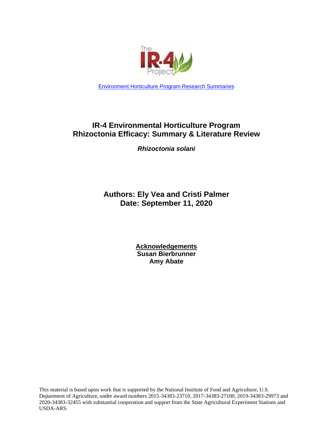

[Environment Horticulture Program Research Summaries](https://www.ir4project.org/ehc/environmental-horticulture-research-summaries/)

# **IR-4 Environmental Horticulture Program Rhizoctonia Efficacy: Summary & Literature Review**

*Rhizoctonia solani*

**Authors: Ely Vea and Cristi Palmer Date: September 11, 2020**

> **Acknowledgements Susan Bierbrunner Amy Abate**

This material is based upon work that is supported by the National Institute of Food and Agriculture, U.S. Department of Agriculture, under award numbers 2015-34383-23710, 2017-34383-27100, 2019-34383-29973 and 2020-34383-32455 with substantial cooperation and support from the State Agricultural Experiment Stations and USDA-ARS.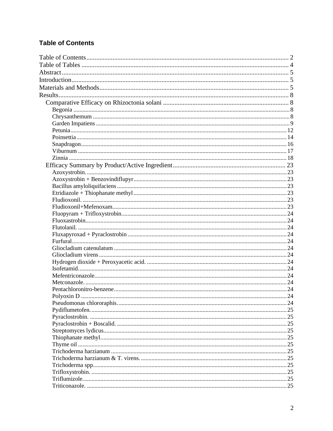# <span id="page-1-0"></span>**Table of Contents**

| .24 |
|-----|
|     |
|     |
|     |
|     |
|     |
|     |
|     |
|     |
|     |
|     |
|     |
|     |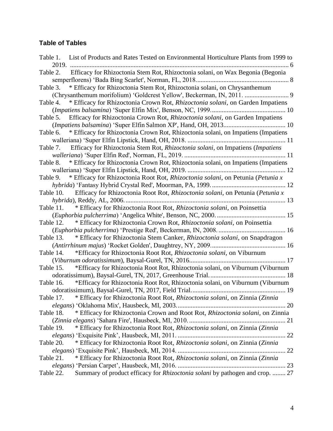# <span id="page-3-0"></span>**Table of Tables**

| List of Products and Rates Tested on Environmental Horticulture Plants from 1999 to<br>Table 1. |
|-------------------------------------------------------------------------------------------------|
| 2019.                                                                                           |
| Efficacy for Rhizoctonia Stem Rot, Rhizoctonia solani, on Wax Begonia (Begonia<br>Table 2.      |
|                                                                                                 |
| * Efficacy for Rhizoctonia Stem Rot, Rhizoctonia solani, on Chrysanthemum<br>Table 3.           |
|                                                                                                 |
| * Efficacy for Rhizoctonia Crown Rot, Rhizoctonia solani, on Garden Impatiens<br>Table 4.       |
|                                                                                                 |
| Efficacy for Rhizoctonia Crown Rot, Rhizoctonia solani, on Garden Impatiens<br>Table 5.         |
|                                                                                                 |
| Table 6. * Efficacy for Rhizoctonia Crown Rot, Rhizoctonia solani, on Impatiens (Impatiens      |
|                                                                                                 |
| Table 7. Efficacy for Rhizoctonia Stem Rot, Rhizoctonia solani, on Impatiens (Impatiens         |
|                                                                                                 |
| * Efficacy for Rhizoctonia Crown Rot, Rhizoctonia solani, on Impatiens (Impatiens<br>Table 8.   |
|                                                                                                 |
| Table 9. * Efficacy for Rhizoctonia Root Rot, Rhizoctonia solani, on Petunia (Petunia x         |
|                                                                                                 |
| Table 10. Efficacy for Rhizoctonia Root Rot, Rhizoctonia solani, on Petunia (Petunia x          |
|                                                                                                 |
| Table 11. * Efficacy for Rhizoctonia Root Rot, <i>Rhizoctonia solani</i> , on Poinsettia        |
|                                                                                                 |
| Table 12. * Efficacy for Rhizoctonia Crown Rot, Rhizoctonia solani, on Poinsettia               |
|                                                                                                 |
| * Efficacy for Rhizoctonia Stem Canker, Rhizoctonia solani, on Snapdragon<br>Table 13.          |
|                                                                                                 |
| Table 14. * Efficacy for Rhizoctonia Root Rot, Rhizoctonia solani, on Viburnum                  |
|                                                                                                 |
| *Efficacy for Rhizoctonia Root Rot, Rhizoctonia solani, on Viburnum (Viburnum<br>Table 15.      |
|                                                                                                 |
| *Efficacy for Rhizoctonia Root Rot, Rhizoctonia solani, on Viburnum (Viburnum<br>Table 16.      |
|                                                                                                 |
| Table 17. * Efficacy for Rhizoctonia Root Rot, Rhizoctonia solani, on Zinnia (Zinnia            |
|                                                                                                 |
| * Efficacy for Rhizoctonia Crown and Root Rot, Rhizoctonia solani, on Zinnia<br>Table 18.       |
|                                                                                                 |
| * Efficacy for Rhizoctonia Root Rot, Rhizoctonia solani, on Zinnia (Zinnia<br>Table 19.         |
|                                                                                                 |
| * Efficacy for Rhizoctonia Root Rot, Rhizoctonia solani, on Zinnia (Zinnia<br>Table 20.         |
|                                                                                                 |
| * Efficacy for Rhizoctonia Root Rot, Rhizoctonia solani, on Zinnia (Zinnia<br>Table 21.         |
|                                                                                                 |
| Summary of product efficacy for Rhizoctonia solani by pathogen and crop.  27<br>Table 22.       |
|                                                                                                 |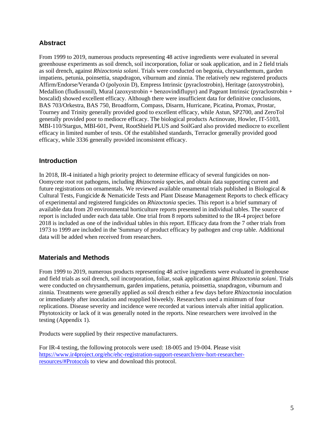# <span id="page-4-0"></span>**Abstract**

From 1999 to 2019, numerous products representing 48 active ingredients were evaluated in several greenhouse experiments as soil drench, soil incorporation, foliar or soak application, and in 2 field trials as soil drench, against *Rhizoctonia solani*. Trials were conducted on begonia, chrysanthemum, garden impatiens, petunia, poinsettia, snapdragon, viburnum and zinnia. The relatively new registered products Affirm/Endorse/Veranda O (polyoxin D), Empress Intrinsic (pyraclostrobin), Heritage (azoxystrobin), Medallion (fludioxonil), Mural (azoxystrobin + benzovindiflupyr) and Pageant Intrinsic (pyraclostrobin + boscalid) showed excellent efficacy. Although there were insufficient data for definitive conclusions, BAS 703/Orkestra, BAS 750, Broadform, Compass, Disarm, Hurricane, Picatina, Promax, Prostar, Tourney and Trinity generally provided good to excellent efficacy, while Astun, SP2700, and ZeroTol generally provided poor to mediocre efficacy. The biological products Actinovate, Howler, IT-5103, MBI-110/Stargus, MBI-601, Pvent, RootShield PLUS and SoilGard also provided mediocre to excellent efficacy in limited number of tests. Of the established standards, Terraclor generally provided good efficacy, while 3336 generally provided inconsistent efficacy.

## <span id="page-4-1"></span>**Introduction**

In 2018, IR-4 initiated a high priority project to determine efficacy of several fungicides on non-Oomycete root rot pathogens, including *Rhizoctonia* species, and obtain data supporting current and future registrations on ornamentals. We reviewed available ornamental trials published in Biological & Cultural Tests, Fungicide & Nematicide Tests and Plant Disease Management Reports to check efficacy of experimental and registered fungicides on *Rhizoctonia* species. This report is a brief summary of available data from 20 environmental horticulture reports presented in individual tables. The source of report is included under each data table. One trial from 8 reports submitted to the IR-4 project before 2018 is included as one of the individual tables in this report. Efficacy data from the 7 other trials from 1973 to 1999 are included in the 'Summary of product efficacy by pathogen and crop table. Additional data will be added when received from researchers.

## <span id="page-4-2"></span>**Materials and Methods**

From 1999 to 2019, numerous products representing 48 active ingredients were evaluated in greenhouse and field trials as soil drench, soil incorporation, foliar, soak application against *Rhizoctonia solani*. Trials were conducted on chrysanthemum, garden impatiens, petunia, poinsettia, snapdragon, viburnum and zinnia. Treatments were generally applied as soil drench either a few days before *Rhizoctonia* inoculation or immediately after inoculation and reapplied biweekly. Researchers used a minimum of four replications. Disease severity and incidence were recorded at various intervals after initial application. Phytotoxicity or lack of it was generally noted in the reports. Nine researchers were involved in the testing (Appendix 1).

Products were supplied by their respective manufacturers.

For IR-4 testing, the following protocols were used: 18-005 and 19-004. Please visit [https://www.ir4project.org/ehc/ehc-registration-support-research/env-hort-researcher](https://www.ir4project.org/ehc/ehc-registration-support-research/env-hort-researcher-resources/#Protocols)[resources/#Protocols](https://www.ir4project.org/ehc/ehc-registration-support-research/env-hort-researcher-resources/#Protocols) to view and download this protocol.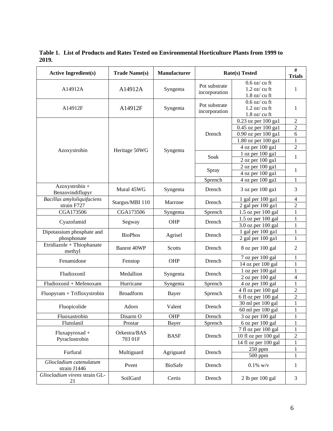Active Ingredient(s) **Trade Name(s) Manufacturer Rate(s) Tested # Rate(s)** Tested **Trials** A14912A A14912A Syngenta Pot substrate incorporation 0.6 oz/ cu ft 1.2 oz/ cu ft 1.8 oz/ cu ft 1 A14912F A14912F Syngenta Pot substrate incorporation 0.6 oz/ cu ft 1.2 oz/ cu ft 1.8 oz/ cu ft 1 Azoxystrobin Heritage 50WG Syngenta Drench 0.23 oz per  $100 \text{ gal}$  2 0.45 oz per 100 gal  $\vert$  2 0.90 oz per 100 ga1 6 1.80 oz per 100 ga $1 \quad 1$ 4 oz per 100 ga1 2 Soak  $\frac{1 \text{ oz per } 100 \text{ gal}}{1}$  1 2 oz per 100 ga1  $Spray \frac{2 \text{ oz per } 100 \text{ gal}}{4 \text{ s}}$  1 4 oz per 100 ga1 Sprench  $4$  oz per 100 ga1  $1$ Azoxystrobin + Benzovindiflupyr Mural 45WG Syngenta Drench 3 oz per 100 ga1 <sup>3</sup> *Bacillus amyloliquifaciens* strain F727 Stargus/MBI 110 Marrone Drench  $\frac{1 \text{ gal per 100 gal}}{2 \text{ gal per 100 gal}}$   $\frac{4}{2 \text{ gal per 100 gal}}$ 2 gal per 100 gal  $\begin{array}{|c|c|} \hline 2 & 2 \\ \hline \end{array}$ CGA173506 CGA173506 Syngenta Sprench 1.5 oz per 100 gal 1  $Cyazofamid$  Segway OHP Drench  $\frac{1.5 \text{ oz per } 100 \text{ gal}}{2.0 \text{ s per } 100 \text{ gal}}$  1  $3.0$  oz per 100 gal  $\vert$  1 Dipotassium phosphate and phosphonate BioPhos Agrisel Drench 1 gal per 100 ga1 <sup>1</sup> 2 gal per  $100$  gal  $1$ Etridiazole + Thiophanate  $\begin{array}{c|c|c|c|c|c|c|c|c} \hline \end{array}$  Banrot 40WP Scotts Drench 8 oz per 100 gal 2 Fenamidone | Fenstop | OHP | Drench 7 oz per 100 gal 1 14 oz per 100 gal  $\vert$  1 Fludioxonil Medallion Syngenta Drench  $\frac{1 \text{ oz per } 100 \text{ gal}}{2 \text{ sec at } 100 \text{ gal}}$  1  $\overline{2}$  oz per 100 gal | 4 Fludioxonil + Mefenoxam Hurricane Syngenta Sprench 4 oz per 100 gal 1 Fluopyram + Trifloxystrobin Broadform Bayer Sprench  $\frac{4 \text{ fl oz per } 100 \text{ gal}}{6 \text{ fl oz per } 100 \text{ gal}}$  2 6 fl oz per 100 gal 2 Fluopicolide Adorn Valent Drench  $\frac{30 \text{ ml per } 100 \text{ gal}}{60 \text{ ml per } 100 \text{ gal}}$  1 60 ml per 100 gal 1 Fluoxastrobin Disarm O | OHP | Drench | 3 oz per 100 gal | 1 Flutolanil Prostar Bayer Sprench 6 oz per 100 gal 1 Fluxapyroxad + Pyraclostrobin Orkestra/BAS  $703.01F$  BASF Drench  $7 \text{ fl oz per } 100 \text{ gal}$  1 10 fl oz per  $100$  gal  $\qquad$  2 14 fl oz per 100 gal  $\vert$  1 Furfural Multiguard Agriguard Drench  $\frac{250 \text{ ppm}}{500 \text{ mm}}$  1 500 ppm 1 *Gliocladium catenulatum* strain J1446 Pvent BioSafe Drench 0.1% w/v 1 *Gliocladium virens* strain GL-21 SoilGard Certis Drench 2 lb per 100 gal 3

<span id="page-5-0"></span>**Table 1. List of Products and Rates Tested on Environmental Horticulture Plants from 1999 to 2019.**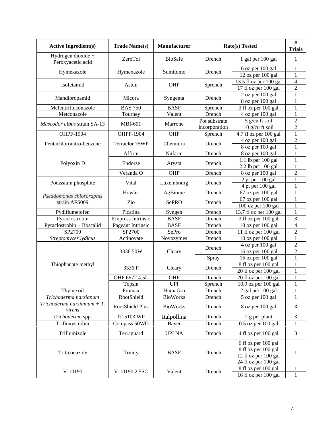| <b>Active Ingredient(s)</b>             | <b>Trade Name(s)</b>     | <b>Manufacturer</b> | <b>Rate(s)</b> Tested | $\#$<br><b>Trials</b>                                                                      |                                |
|-----------------------------------------|--------------------------|---------------------|-----------------------|--------------------------------------------------------------------------------------------|--------------------------------|
| Hydrogen dioxide +<br>Peroxyacetic acid | ZeroTol                  | <b>BioSafe</b>      | Drench                | 1 gal per 100 gal                                                                          | 1                              |
| Hymexazole                              | Hymexazole               | Sumitomo            | Drench                | 6 oz per 100 gal                                                                           | 1                              |
|                                         |                          |                     |                       | 12 oz per 100 gal                                                                          | 1                              |
| Isofetamid                              | Astun                    | OHP                 | Sprench               | 13.5 fl oz per 100 gal                                                                     | $\overline{4}$                 |
|                                         |                          |                     |                       | 17 fl oz per 100 gal                                                                       | $\overline{c}$                 |
| Mandipropamid                           | Micora                   | Syngenta            | Drench                | 2 oz per 100 gal                                                                           | 1<br>1                         |
| Mefentrifluconazole                     | <b>BAS 750</b>           | <b>BASF</b>         | Sprench               | 8 oz per 100 gal<br>3 fl oz per 100 gal                                                    | 1                              |
| Metconazole                             | Tourney                  | Valent              | Drench                | 4 oz per 100 gal                                                                           | 1                              |
|                                         |                          |                     | Pot substrate         | 5 g/cu ft soil                                                                             | $\overline{c}$                 |
| Muscodor albus strain SA-13             | <b>MBI-601</b>           | Marrone             | incorporation         | 10 g/cu ft soil                                                                            | $\overline{2}$                 |
| <b>OHPF-1904</b>                        | OHPF-1904                | OHP                 | Sprench               | 4.7 fl oz per 100 gal                                                                      | $\mathbf{1}$                   |
|                                         |                          |                     |                       | 4 oz per 100 gal                                                                           | $\overline{c}$                 |
| Pentachloronitro-benzene                | Terraclor 75WP           | Chemtura            | Drench                | 8 oz per 100 gal                                                                           | $\mathbf{1}$                   |
|                                         | Affirm                   | Nufarm              | Drench                | 8 oz per 100 gal                                                                           | 1                              |
| Polyoxin D                              | Endorse                  |                     | Drench                | 1.1 lb per 100 gal                                                                         | 1                              |
|                                         |                          | Arysta              |                       | 2.2 lb per 100 gal                                                                         | 1                              |
|                                         | Veranda O                | OHP                 | Drench                | 8 oz per 100 gal                                                                           | $\overline{c}$                 |
| Potassium phosphite                     | Vital                    | Luxembourg          | Drench                | 2 pt per 100 gal                                                                           | 1                              |
|                                         |                          |                     |                       | 4 pt per 100 gal                                                                           | 1                              |
| Pseudomonas chlororaphis                | Howler                   | AgBiome             | Drench                | 67 oz per 100 gal                                                                          | 1                              |
| strain AFS009                           | Zio                      | <b>SePRO</b>        | Drench                | 67 oz per 100 gal                                                                          | 1                              |
|                                         |                          |                     |                       | 100 oz per 100 gal                                                                         | 1                              |
| Pydiflumetofen                          | Picatina                 | Syngen              | Drench                | 13.7 fl oz per 100 gal                                                                     | 1                              |
| Pyraclostrobin                          | <b>Empress Intrinsic</b> | <b>BASF</b>         | Drench                | 3 fl oz per 100 gal                                                                        | 3                              |
| Pyraclostrobin + Boscalid               | Pageant Intrinsic        | <b>BASF</b>         | Drench                | 18 oz per 100 gal                                                                          | $\overline{4}$                 |
| SP2700                                  | SP2700<br>Actinovate     | SePro               | Drench<br>Drench      | 11 fl oz per 100 gal                                                                       | $\overline{c}$<br>$\mathbf{1}$ |
| Streptomyces lydicus                    |                          | Novozymes           |                       | 10 oz per 100 gal<br>4 oz per 100 gal                                                      | $\overline{2}$                 |
|                                         | 3336 50W                 | Cleary              | Drench                | 16 oz per 100 gal                                                                          | $\overline{2}$                 |
|                                         |                          |                     | Spray                 | 16 oz per 100 gal                                                                          | 1                              |
| Thiophanate methyl                      |                          |                     |                       | 8 fl oz per 100 gal                                                                        | 1                              |
|                                         | 3336 F                   | Cleary              | Drench                | 20 fl oz per 100 gal                                                                       | 1                              |
|                                         | OHP 6672 4.5L            | OHP                 | Drench                | 20 fl oz per 100 gal                                                                       | 1                              |
|                                         | Topsin                   | UPI                 | Sprench               | $10.9$ oz per $100$ gal                                                                    | 1                              |
| Thyme oil                               | Promax                   | HumaGro             | Drench                | 2 gal per 100 gal                                                                          | 1                              |
| Trichoderma harzianum                   | RootShield               | <b>BioWorks</b>     | Drench                | 5 oz per 100 gal                                                                           | 1                              |
| Trichoderma harziamum + $T$ .<br>virens | RootShield Plus          | <b>BioWorks</b>     | Drench                | 8 oz per 100 gal                                                                           | $\mathfrak{Z}$                 |
| Trichoderma spp.                        | IT-5103 WP               | Italpollina         | Drench                | $2$ g per plant                                                                            | 3                              |
| Trifloxystrobin                         | Compass 50WG             | Bayer               | Drench                | $0.5$ oz per $100$ gal                                                                     | 1                              |
| Triflumizole                            | Terraguard               | <b>UPI NA</b>       | Drench                | 4 fl oz per 100 gal                                                                        | 3                              |
| Triticonazole                           | Trinity                  | <b>BASF</b>         | Drench                | 6 fl oz per 100 gal<br>8 fl oz per 100 gal<br>12 fl oz per 100 gal<br>24 fl oz per 100 gal | 1                              |
| V-10190                                 | V-10190 2.5SC            | Valent              | Drench                | 8 fl oz per 100 gal<br>$\overline{16}$ fl oz per $100$ gal                                 | 1<br>$\mathbf{1}$              |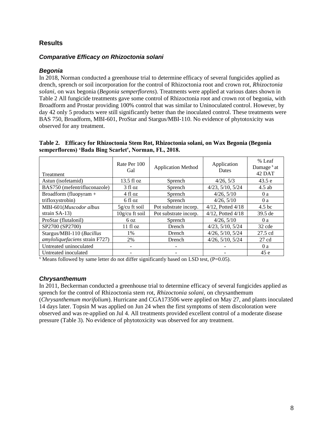# <span id="page-7-0"></span>**Results**

## <span id="page-7-1"></span>*Comparative Efficacy on Rhizoctonia solani*

#### <span id="page-7-2"></span>*Begonia*

In 2018, Norman conducted a greenhouse trial to determine efficacy of several fungicides applied as drench, sprench or soil incorporation for the control of Rhizoctonia root and crown rot, *Rhizoctonia solani,* on wax begonia (*Begonia semperflorens*). Treatments were applied at various dates shown in [Table 2](#page-7-4) All fungicide treatments gave some control of Rhizoctonia root and crown rot of begonia, with Broadform and Prostar providing 100% control that was similar to Uninoculated control. However, by day 42 only 5 products were still significantly better than the inoculated control. These treatments were BAS 750, Broadform, MBI-601, ProStar and Stargus/MBI-110. No evidence of phytotoxicity was observed for any treatment.

<span id="page-7-4"></span>**Table 2. Efficacy for Rhizoctonia Stem Rot, Rhizoctonia solani, on Wax Begonia (Begonia semperflorens) 'Bada Bing Scarlet', Norman, FL, 2018.**

| Treatment                      | Rate Per 100<br>Gal  | <b>Application Method</b> | Application<br>Dates     | % Leaf<br>Damage $x$ at<br>42 DAT |
|--------------------------------|----------------------|---------------------------|--------------------------|-----------------------------------|
| Astun (isofetamid)             | $13.5 \text{ fl oz}$ | Sprench                   | 4/26, 5/3                | 43.5 e                            |
| BAS750 (mefentrifluconazole)   | 3 fl oz              | Sprench                   | $4/23$ , $5/10$ , $5/24$ | $4.5$ ab                          |
| Broadform (fluopyram +         | 4 fl oz              | Sprench                   | 4/26, 5/10               | 0 a                               |
| trifloxystrobin)               | 6 fl oz              | Sprench                   | 4/26, 5/10               | 0a                                |
| MBI-601(Muscodor albus         | $5g/cu$ ft soil      | Pot substrate incorp.     | $4/12$ , Potted $4/18$   | 4.5 <sub>bc</sub>                 |
| strain $SA-13$ )               | 10g/cu ft soil       | Pot substrate incorp.     | 4/12, Potted 4/18        | 39.5 de                           |
| ProStar (flutalonil)           | 6 oz                 | Sprench                   | 4/26, 5/10               | 0a                                |
| SP2700 (SP2700)                | 11f1oz               | Drench                    | 4/23, 5/10, 5/24         | 32 cde                            |
| Stargus/MBI-110 (Bacillus      | 1%                   | Drench                    | $4/26$ , $5/10$ , $5/24$ | 27.5 cd                           |
| amyloliquefaciens strain F727) | 2%                   | <b>Drench</b>             | 4/26, 5/10, 5/24         | $27 \text{ cd}$                   |
| Untreated uninoculated         |                      |                           |                          | 0 a                               |
| Untreated inoculated           |                      |                           |                          | 45 e                              |

 $x$  Means followed by same letter do not differ significantly based on LSD test, (P=0.05).

#### <span id="page-7-3"></span>*Chrysanthemum*

In 2011, Beckerman conducted a greenhouse trial to determine efficacy of several fungicides applied as sprench for the control of Rhizoctonia stem rot, *Rhizoctonia solani,* on chrysanthemum (*Chrysanthemum morifolium*). Hurricane and CGA173506 were applied on May 27, and plants inoculated 14 days later. Topsin M was applied on Jun 24 when the first symptoms of stem discoloration were observed and was re-applied on Jul 4. All treatments provided excellent control of a moderate disease pressure [\(Table 3\)](#page-8-1). No evidence of phytotoxicity was observed for any treatment.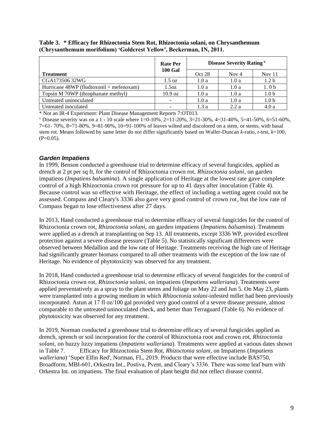|                                            | <b>Rate Per</b>  | <b>Disease Severity Rating</b> <sup>x</sup> |         |                  |
|--------------------------------------------|------------------|---------------------------------------------|---------|------------------|
| <b>Treatment</b>                           | <b>100 Gal</b>   | Oct 28                                      | Nov $4$ | Nov $11$         |
| CGA173506 32WG                             | $1.5 \text{ oz}$ | 1.0a                                        | 1.0a    | 1.2 <sub>b</sub> |
| Hurricane $48WP$ (fludioxonil + mefenoxam) | 1.5oz            | 1.0a                                        | 1.0a    | 1.0 <sub>b</sub> |
| Topsin M 70WP (thiophanate methyl)         | 10.9 oz          | 1.0a                                        | 1.0a    | 1.0 <sub>b</sub> |
| Untreated uninoculated                     |                  | 1.0a                                        | 1.0a    | 1.0 <sub>b</sub> |
| Untreated inoculated                       |                  | 1.3a                                        | 2.2a    | 4.0a             |

<span id="page-8-1"></span>**Table 3. \* Efficacy for Rhizoctonia Stem Rot, Rhizoctonia solani, on Chrysanthemum (Chrysanthemum morifolium) 'Goldcrest Yellow', Beckerman, IN, 2011.**

\* Not an IR-4 Experiment: Plant Disease Management Reports 7:OT013.

 $\frac{x}{2}$  Disease severity was on a 1 - 10 scale where 1=0-10%, 2=11-20%, 3=21-30%, 4=31-40%, 5=41-50%, 6=51-60%, 7=61- 70%, 8=71-80%, 9=81-90%, 10=91-100% of leaves wilted and discolored on a stem, or stems, with basal stem rot. Means followed by same letter do not differ significantly based on Waller-Duncan *k*-ratio, *t*-test, *k*=100,  $(P=0.05)$ .

#### <span id="page-8-0"></span>*Garden Impatiens*

In 1999, Benson conducted a greenhouse trial to determine efficacy of several fungicides, applied as drench at 2 pt per sq ft, for the control of Rhizoctonia crown rot, *Rhizoctonia solani,* on garden impatiens (*Impatiens balsamina*). A single application of Heritage at the lowest rate gave complete control of a high Rhizoctonia crown rot pressure for up to 41 days after inoculation [\(Table 4\)](#page-9-0). Because control was so effective with Heritage, the effect of including a wetting agent could not be assessed. Compass and Cleary's 3336 also gave very good control of crown rot, but the low rate of Compass began to lose effectiveness after 27 days.

In 2013, Hand conducted a greenhouse trial to determine efficacy of several fungicides for the control of Rhizoctonia crown rot, *Rhizoctonia solani,* on garden impatiens (*Impatiens balsamina*). Treatments were applied as a drench at transplanting on Sep 13. All treatments, except 3336 WP, provided excellent protection against a severe disease pressure [\(Table 5\)](#page-9-1). No statistically significant differences were observed between Medallion and the low rate of Heritage. Treatments receiving the high rate of Heritage had significantly greater biomass compared to all other treatments with the exception of the low rate of Heritage. No evidence of phytotoxicity was observed for any treatment.

In 2018, Hand conducted a greenhouse trial to determine efficacy of several fungicides for the control of Rhizoctonia crown rot, *Rhizoctonia solani,* on impatiens (*Impatiens walleriana*). Treatments were applied preventatively as a spray to the plant stems and foliage on May 22 and Jun 5. On May 23, plants were transplanted into a growing medium in which *Rhizoctonia solani*-infested millet had been previously incorporated. Astun at 17 fl oz/100 gal provided very good control of a severe disease pressure, almost comparable to the untreated uninoculated check, and better than Terraguard (Table 6). No evidence of phytotoxicity was observed for any treatment.

In 2019, Norman conducted a greenhouse trial to determine efficacy of several fungicides applied as drench, sprench or soil incorporation for the control of Rhizoctonia root and crown rot, *Rhizoctonia solani,* on buzzy lizzy impatiens (*Impatiens walleriana*). Treatments were applied at various dates shown in Table 7. [Efficacy for Rhizoctonia Stem Rot,](#page-10-1) *Rhizoctonia solani*, on Impatiens (*Impatiens walleriana*[\) 'Super Elfin Red', Norman, FL, 2019.](#page-10-1) Products that were effective include BAS750, Broadform, MBI-601, Orkestra Int., Postiva, Pvent, and Cleary's 3336. There was some leaf burn with Orkestra Int. on impatiens. The final evaluation of plant height did not reflect disease control.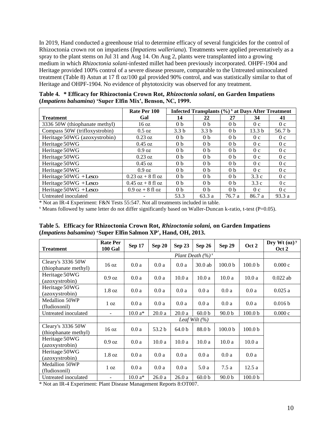In 2019, Hand conducted a greenhouse trial to determine efficacy of several fungicides for the control of Rhizoctonia crown rot on impatiens (*Impatiens walleriana*). Treatments were applied preventatively as a spray to the plant stems on Jul 31 and Aug 14. On Aug 2, plants were transplanted into a growing medium in which *Rhizoctonia solani*-infested millet had been previously incorporated. OHPF-1904 and Heritage provided 100% control of a severe disease pressure, comparable to the Untreated uninoculated treatment [\(Table 8\)](#page-11-1) Astun at 17 fl oz/100 gal provided 90% control, and was statistically similar to that of Heritage and OHPF-1904. No evidence of phytotoxicity was observed for any treatment.

<span id="page-9-0"></span>**Table 4. \* Efficacy for Rhizoctonia Crown Rot,** *Rhizoctonia solani***, on Garden Impatiens (***Impatiens balsamina***) 'Super Elfin Mix', Benson, NC, 1999.**

|                               | Rate Per 100         | Infected Transplants $(\% )$ <sup>x</sup> at Days After Treatment |                  |                |                   |                |
|-------------------------------|----------------------|-------------------------------------------------------------------|------------------|----------------|-------------------|----------------|
| <b>Treatment</b>              | Gal                  | 14                                                                | 22               | 27             | 34                | 41             |
| 3336 50W (thiophanate methyl) | $16 \text{ oz}$      | 0 <sub>b</sub>                                                    | 0 <sub>b</sub>   | 0 <sub>b</sub> | 0 <sub>c</sub>    | 0 <sub>c</sub> |
| Compass 50W (trifloxystrobin) | $0.5 \text{ oz}$     | 3.3 <sub>b</sub>                                                  | 3.3 <sub>b</sub> | 0 <sub>b</sub> | 13.3 <sub>b</sub> | 56.7 b         |
| Heritage 50WG (azoxystrobin)  | $0.23 \text{ oz}$    | 0 <sub>b</sub>                                                    | 0 <sub>b</sub>   | 0 <sub>b</sub> | 0 <sub>c</sub>    | 0 <sub>c</sub> |
| Heritage 50WG                 | $0.45 \text{ oz}$    | 0 <sub>b</sub>                                                    | 0 <sub>b</sub>   | 0 <sub>b</sub> | 0 <sub>c</sub>    | 0 <sub>c</sub> |
| Heritage 50WG                 | $0.9 \text{ oz}$     | 0 <sub>b</sub>                                                    | 0 <sub>b</sub>   | 0 <sub>b</sub> | 0 <sub>c</sub>    | 0 <sub>c</sub> |
| Heritage 50WG                 | $0.23 \text{ oz}$    | 0 <sub>b</sub>                                                    | 0 <sub>b</sub>   | 0 <sub>b</sub> | 0 <sub>c</sub>    | 0 <sub>c</sub> |
| Heritage 50WG                 | $0.45 \text{ oz}$    | 0 <sub>b</sub>                                                    | 0 <sub>b</sub>   | 0 <sub>b</sub> | 0 <sub>c</sub>    | 0 <sub>c</sub> |
| Heritage 50WG                 | $0.9 \text{ oz}$     | 0 <sub>b</sub>                                                    | 0 <sub>b</sub>   | 0 <sub>b</sub> | 0 <sub>c</sub>    | 0 <sub>c</sub> |
| Heritage 50WG +Lesco          | $0.23$ oz + 8 fl oz  | 0 <sub>b</sub>                                                    | 0 <sub>b</sub>   | 0 <sub>b</sub> | 3.3c              | 0 <sub>c</sub> |
| Heritage 50WG +Lesco          | $0.45$ oz $+8$ fl oz | 0 <sub>b</sub>                                                    | 0 <sub>b</sub>   | 0 <sub>b</sub> | 3.3c              | 0 <sub>c</sub> |
| Heritage 50WG +Lesco          | $0.9$ oz $+8$ fl oz  | 0 <sub>b</sub>                                                    | 0 <sub>b</sub>   | 0 <sub>b</sub> | 0 <sub>c</sub>    | 0 <sub>c</sub> |
| Untreated inoculated          |                      | 53.3                                                              | 63.3 a           | 76.7 a         | 86.7 a            | 93.3 a         |

\* Not an IR-4 Experiment: F&N Tests 55:547. Not all treatments included in table.

<sup>x</sup> Means followed by same letter do not differ significantly based on Waller-Duncan k-ratio, t-test (P=0.05).

<span id="page-9-1"></span>**Table 5. Efficacy for Rhizoctonia Crown Rot,** *Rhizoctonia solani,* **on Garden Impatiens (***Impatiens balsamina***) 'Super Elfin Salmon XP', Hand, OH, 2013.**

| <b>Treatment</b>                          | <b>Rate Per</b><br><b>100 Gal</b> | <b>Sep 17</b> | <b>Sep 20</b> | Sep 23            | Sep 26                        | Sep 29             | Oct 2              | Dry Wt $(oz)^y$<br>Oct 2 |
|-------------------------------------------|-----------------------------------|---------------|---------------|-------------------|-------------------------------|--------------------|--------------------|--------------------------|
|                                           |                                   |               |               |                   | Plant Death $(\frac{9}{6})^x$ |                    |                    |                          |
| Cleary's 3336 50W<br>(thiophanate methyl) | 16 oz                             | 0.0a          | 0.0a          | 0.0a              | 30.0 ab                       | 100.0 <sub>b</sub> | 100.0 <sub>b</sub> | 0.000c                   |
| Heritage 50WG<br>(azoxystrobin)           | $0.9 \text{ oz}$                  | 0.0a          | 0.0a          | 10.0a             | 10.0a                         | 10.0a              | 10.0a              | $0.022$ ab               |
| Heritage 50WG<br>(azoxystrobin)           | $1.8 \text{ oz}$                  | 0.0a          | 0.0a          | 0.0a              | 0.0a                          | 0.0a               | 0.0a               | 0.025a                   |
| <b>Medallion 50WP</b><br>(fludioxonil)    | 1 <sub>oz</sub>                   | 0.0a          | 0.0a          | 0.0a              | 0.0a                          | 0.0a               | 0.0a               | 0.016 b                  |
| Untreated inoculated                      | ۰                                 | $10.0 a*$     | 20.0a         | 20.0a             | 60.0 <sub>b</sub>             | 90.0 <sub>b</sub>  | 100.0 <sub>b</sub> | 0.000c                   |
|                                           |                                   |               |               |                   | Leaf Wilt $(\% )$             |                    |                    |                          |
| Cleary's 3336 50W<br>(thiophanate methyl) | 16 oz                             | 0.0a          | 53.2 b        | 64.0 <sub>b</sub> | 88.0b                         | 100.0 <sub>b</sub> | 100.0 <sub>b</sub> |                          |
| Heritage 50WG<br>(azoxystrobin)           | $0.9 \text{ oz}$                  | 0.0a          | 10.0a         | 10.0a             | 10.0a                         | 10.0a              | 10.0a              |                          |
| Heritage 50WG<br>(azoxystrobin)           | $1.8 \text{ oz}$                  | 0.0a          | 0.0a          | 0.0a              | 0.0a                          | 0.0a               | 0.0a               |                          |
| Medallion 50WP<br>(fludioxonil)           | 1 <sub>oz</sub>                   | 0.0a          | 0.0a          | 0.0a              | 5.0a                          | 7.5a               | 12.5a              |                          |
| Untreated inoculated                      | $\qquad \qquad -$                 | $10.0 a*$     | 26.0a         | 26.0a             | 60.0 <sub>b</sub>             | 90.0 <sub>b</sub>  | 100.0 <sub>b</sub> |                          |

\* Not an IR-4 Experiment: Plant Disease Management Reports 8:OT007.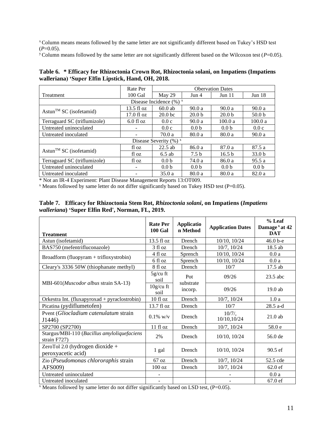<sup>x</sup>Column means means followed by the same letter are not significantly different based on Tukey's HSD test  $(P=0.05)$ .

<sup>y</sup> Column means followed by the same letter are not significantly different based on the Wilcoxon test ( $P=0.05$ ).

<span id="page-10-0"></span>

| Table 6. * Efficacy for Rhizoctonia Crown Rot, Rhizoctonia solani, on Impatiens (Impatiens |
|--------------------------------------------------------------------------------------------|
| walleriana) 'Super Elfin Lipstick, Hand, OH, 2018.                                         |

|                                     | Rate Per                 | <b>Obervation Dates</b>   |                   |                   |                   |  |
|-------------------------------------|--------------------------|---------------------------|-------------------|-------------------|-------------------|--|
| Treatment                           | 100 Gal                  | May 29                    | Jun 4             | Jun 11            | Jun <sub>18</sub> |  |
| Disease Incidence $(\%)^x$          |                          |                           |                   |                   |                   |  |
| Astun <sup>TM</sup> SC (isofetamid) | $13.5 \text{ fl oz}$     | $60.0$ ab                 | 90.0a             | 90.0a             | 90.0 a            |  |
|                                     | $17.0 \text{ fl oz}$     | 20.0 <sub>bc</sub>        | 20.0 <sub>b</sub> | 20.0 <sub>b</sub> | 50.0 <sub>b</sub> |  |
| Terraguard SC (triflumizole)        | $6.0$ fl oz              | 0.0c                      | 90.0a             | 100.0 a           | 100.0 a           |  |
| Untreated uninoculated              |                          | 0.0c                      | 0.0 <sub>b</sub>  | 0.0 <sub>b</sub>  | 0.0c              |  |
| Untreated inoculated                | -                        | 70.0a                     | 80.0 a            | 80.0 a            | 90.0 a            |  |
|                                     |                          | Disease Severity $(\%)^x$ |                   |                   |                   |  |
| Astun <sup>TM</sup> SC (isofetamid) | fl oz                    | $22.5$ ab                 | 86.0 a            | 87.0 a            | 87.5a             |  |
|                                     | fl oz                    | $6.5$ ab                  | 7.5 <sub>b</sub>  | 16.5 <sub>b</sub> | 33.0 <sub>b</sub> |  |
| Terraguard SC (triflumizole)        | fl oz                    | 0.0 <sub>b</sub>          | 74.0 a            | 86.0 a            | 95.5 a            |  |
| Untreated uninoculated              | $\overline{\phantom{0}}$ | 0.0 <sub>b</sub>          | 0.0 <sub>b</sub>  | 0.0 <sub>b</sub>  | 0.0 <sub>b</sub>  |  |
| Untreated inoculated                |                          | 35.0a                     | 80.0 a            | 80.0a             | 82.0 a            |  |

\* Not an IR-4 Experiment: Plant Disease Management Reports 13:OT009.

 $\overline{X}$  Means followed by same letter do not differ significantly based on Tukey HSD test (P=0.05).

| <b>Treatment</b>                                            | <b>Rate Per</b><br><b>100 Gal</b> | <b>Applicatio</b><br>n Method | <b>Application Dates</b> | % Leaf<br>Damage <sup>x</sup> at 42<br><b>DAT</b> |
|-------------------------------------------------------------|-----------------------------------|-------------------------------|--------------------------|---------------------------------------------------|
| Astun (isofetamid)                                          | $13.5 \text{ fl oz}$              | Drench                        | 10/10, 10/24             | 46.0 b-e                                          |
| BAS750 (mefentrifluconazole)                                | 3 fl oz                           | Drench                        | $10/7$ , $10/24$         | 18.5 ab                                           |
|                                                             | 4 fl oz                           | Sprench                       | 10/10, 10/24             | 0.0a                                              |
| Broadform (fluopyram + trifloxystrobin)                     | 6 fl oz                           | Sprench                       | 10/10, 10/24             | 0.0a                                              |
| Cleary's 3336 50W (thiophanate methyl)                      | 8 fl oz                           | Drench                        | 10/7                     | $17.5$ ab                                         |
|                                                             | $5g/cu$ ft<br>soil                | Pot<br>substrate              | 09/26                    | $23.5$ abc                                        |
| MBI-601( <i>Muscodor albus</i> strain SA-13)                | $10g/cu$ ft<br>soil               | incorp.                       | 09/26                    | 19.0 ab                                           |
| Orkestra Int. (fluxapyroxad + pyraclostrobin)               | 10f1oz                            | Drench                        | 10/7, 10/24              | 1.0a                                              |
| Picatina (pydiflumetofen)                                   | 13.7 fl oz                        | Drench                        | 10/7                     | 28.5 a-d                                          |
| Pvent (Gliocladium catenulatum strain<br>J1446)             | $0.1\%$ w/v                       | Drench                        | $10/7/$ ,<br>10/10,10/24 | $21.0$ ab                                         |
| SP2700 (SP2700)                                             | 11f1oz                            | Drench                        | 10/7, 10/24              | 58.0 e                                            |
| Stargus/MBI-110 (Bacillus amyloliquefaciens<br>strain F727) | 2%                                | Drench                        | 10/10, 10/24             | 56.0 de                                           |
| ZeroTol 2.0 (hydrogen dioxide +<br>peroxyacetic acid)       | 1 gal                             | Drench                        | 10/10, 10/24             | $90.5 \text{ ef}$                                 |
| Zio (Pseudomonas chlororaphis strain                        | 67 oz                             | Drench                        | 10/7, 10/24              | 52.5 cde                                          |
| AFS009)                                                     | 100 oz                            | Drench                        | 10/7, 10/24              | $62.0$ ef                                         |
| Untreated uninoculated                                      | $\overline{\phantom{a}}$          |                               |                          | 0.0a                                              |
| Untreated inoculated                                        |                                   |                               |                          | 67.0 ef                                           |

#### <span id="page-10-1"></span>**Table 7. Efficacy for Rhizoctonia Stem Rot,** *Rhizoctonia solani***, on Impatiens (***Impatiens walleriana***) 'Super Elfin Red', Norman, FL, 2019.**

 $\overline{X}$  Means followed by same letter do not differ significantly based on LSD test, (P=0.05).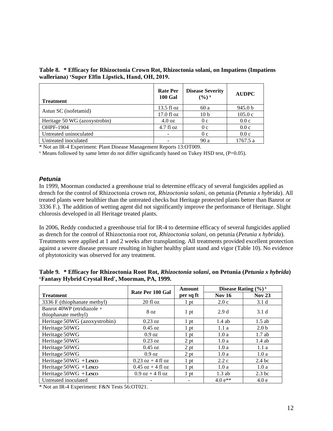<span id="page-11-1"></span>**Table 8. \* Efficacy for Rhizoctonia Crown Rot, Rhizoctonia solani, on Impatiens (Impatiens walleriana) 'Super Elfin Lipstick, Hand, OH, 2019.**

| <b>Treatment</b>              | <b>Rate Per</b><br><b>100 Gal</b> | <b>Disease Severity</b><br>$(9/0)^x$ | <b>AUDPC</b>       |
|-------------------------------|-----------------------------------|--------------------------------------|--------------------|
|                               | $13.5 \text{ fl oz}$              | 60 a                                 | 945.0 <sub>b</sub> |
| Astun SC (isofetamid)         | $17.0 \text{ fl oz}$              | 10 <sub>b</sub>                      | 105.0c             |
| Heritage 50 WG (azoxystrobin) | $4.0 \text{ oz}$                  | 0 <sub>c</sub>                       | 0.0c               |
| OHPF-1904                     | $4.7f1$ oz                        | 0 <sub>c</sub>                       | 0.0c               |
| Untreated uninoculated        |                                   | 0c                                   | 0.0c               |
| Untreated inoculated          |                                   | 90a                                  | 1767.5 a           |

\* Not an IR-4 Experiment: Plant Disease Management Reports 13:OT009.

 $\alpha$  Means followed by same letter do not differ significantly based on Tukey HSD test, (P=0.05).

#### <span id="page-11-0"></span>*Petunia*

In 1999, Moorman conducted a greenhouse trial to determine efficacy of several fungicides applied as drench for the control of Rhizoctonia crown rot, *Rhizoctonia solani,* on petunia (*Petunia x hybrida*). All treated plants were healthier than the untreated checks but Heritage protected plants better than Banrot or 3336 F.). The addition of wetting agent did not significantly improve the performance of Heritage. Slight chlorosis developed in all Heritage treated plants.

In 2006, Reddy conducted a greenhouse trial for IR-4 to determine efficacy of several fungicides applied as drench for the control of Rhizoctonia root rot, *Rhizoctonia solani,* on petunia (*Petunia x hybrida*). Treatments were applied at 1 and 2 weeks after transplanting. All treatments provided excellent protection against a severe disease pressure resulting in higher healthy plant stand and vigor [\(Table 10\)](#page-13-0). No evidence of phytotoxicity was observed for any treatment.

|                              | Rate Per 100 Gal    | Amount          | Disease Rating $(\frac{6}{6})^x$ |                   |  |
|------------------------------|---------------------|-----------------|----------------------------------|-------------------|--|
| <b>Treatment</b>             |                     | per sq ft       | <b>Nov 16</b>                    | <b>Nov 23</b>     |  |
| 3336 F (thiophanate methyl)  | $20$ fl oz          | 1 <sub>pt</sub> | 2.0c                             | 3.1 <sub>d</sub>  |  |
| Banrot 40WP (etridiazole +   | 8 <sub>oz</sub>     |                 | 2.9d                             | 3.1 <sub>d</sub>  |  |
| thiophanate methyl)          |                     | 1 pt            |                                  |                   |  |
| Heritage 50WG (azoxystrobin) | $0.23$ oz           | $1$ pt          | 1.4ab                            | $1.5$ ab          |  |
| Heritage 50WG                | $0.45 \text{ oz}$   | 1 pt            | 1.1a                             | 2.0 <sub>b</sub>  |  |
| Heritage 50WG                | $0.9 \text{ oz}$    | 1 pt            | 1.0a                             | 1.7ab             |  |
| Heritage 50WG                | $0.23$ oz           | 2 pt            | 1.0a                             | $1.4$ ab          |  |
| Heritage 50WG                | $0.45 \text{ oz}$   | 2 pt            | 1.0a                             | 1.1a              |  |
| Heritage 50WG                | $0.9 \text{ oz}$    | 2 pt            | 1.0a                             | 1.0a              |  |
| Heritage 50WG +Lesco         | $0.23$ oz + 4 fl oz | $1$ pt          | 2.2c                             | 2.4 <sub>bc</sub> |  |
| Heritage 50WG +Lesco         | $0.45$ oz + 4 fl oz | $1$ pt          | 1.0a                             | 1.0a              |  |
| Heritage 50WG +Lesco         | $0.9$ oz + 4 fl oz  | 1 pt            | $1.3$ ab                         | 2.3 <sub>bc</sub> |  |
| Untreated inoculated         | -                   |                 | $4.0 e^{**}$                     | 4.0e              |  |

<span id="page-11-2"></span>**Table 9. \* Efficacy for Rhizoctonia Root Rot,** *Rhizoctonia solani***, on Petunia (***Petunia x hybrida***) 'Fantasy Hybrid Crystal Red', Moorman, PA, 1999.**

\* Not an IR-4 Experiment: F&N Tests 56:OT021.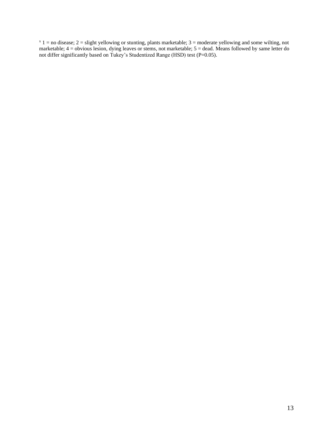$x = 1$  = no disease;  $2 =$  slight yellowing or stunting, plants marketable;  $3 =$  moderate yellowing and some wilting, not marketable; 4 = obvious lesion, dying leaves or stems, not marketable; 5 = dead. Means followed by same letter do not differ significantly based on Tukey's Studentized Range (HSD) test (P=0.05).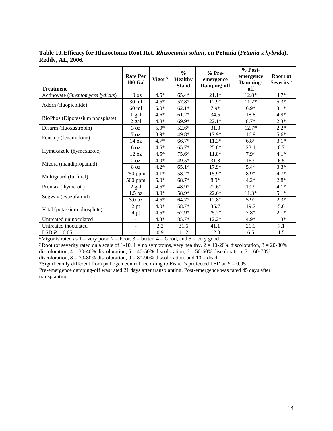| <b>Treatment</b>                  | <b>Rate Per</b><br><b>100 Gal</b> | Vigor <sup>x</sup> | $\frac{6}{6}$<br><b>Healthy</b><br><b>Stand</b> | $%$ Pre-<br>emergence<br>Damping-off | $% Post-$<br>emergence<br>Damping-<br>off | Root rot<br>Severity <sup>y</sup> |
|-----------------------------------|-----------------------------------|--------------------|-------------------------------------------------|--------------------------------------|-------------------------------------------|-----------------------------------|
| Actinovate (Streptomyces lydicus) | 10 <sub>oz</sub>                  | $4.5*$             | $65.4*$                                         | $21.1*$                              | $12.8*$                                   | $4.7*$                            |
|                                   | $30 \text{ ml}$                   | $4.5*$             | 57.8*                                           | 12.9*                                | $11.2*$                                   | $5.3*$                            |
| Adorn (fluopicolide)              | $60$ ml                           | $5.0*$             | $62.1*$                                         | $7.9*$                               | $6.9*$                                    | $3.1*$                            |
| BioPhos (Dipotassium phosphate)   | 1 gal                             | $4.6*$             | $61.2*$                                         | 34.5                                 | 18.8                                      | $4.9*$                            |
|                                   | $2$ gal                           | $4.8*$             | $69.9*$                                         | $22.1*$                              | $8.7*$                                    | $2.3*$                            |
| Disarm (fluoxastrobin)            | 3 oz                              | $5.0*$             | $52.6*$                                         | 31.3                                 | $12.7*$                                   | $2.2*$                            |
|                                   | $7 \text{ oz}$                    | $3.9*$             | 49.8*                                           | $17.9*$                              | 16.9                                      | $5.6*$                            |
| Fenstop (fenamidone)              | 14 <sub>oz</sub>                  | $4.7*$             | 66.7*                                           | $11.3*$                              | $6.8*$                                    | $3.1*$                            |
|                                   | 6 oz                              | $4.5*$             | $65.7*$                                         | 25.8*                                | 23.1                                      | 6.7                               |
| Hymexazole (hymexazole)           | 12 oz                             | $4.5*$             | 75.6*                                           | $11.8*$                              | $7.9*$                                    | $4.1*$                            |
|                                   | 2 oz                              | $4.0*$             | $49.5*$                                         | 31.8                                 | 16.9                                      | 6.5                               |
| Micora (mandipropamid)            | $8\ \mathrm{oz}$                  | $4.2*$             | $65.1*$                                         | 17.9*                                | $5.4*$                                    | $3.3*$                            |
|                                   | 250 ppm                           | $4.1*$             | $58.2*$                                         | 15.9*                                | $8.9*$                                    | $4.7*$                            |
| Multiguard (furfural)             | 500 ppm                           | $5.0*$             | 68.7*                                           | $8.9*$                               | $4.2*$                                    | $2.8*$                            |
| Promax (thyme oil)                | $2$ gal                           | $4.5*$             | 48.9*                                           | $22.6*$                              | 19.9                                      | $4.1*$                            |
|                                   | 1.5 oz                            | $3.9*$             | 58.9*                                           | $22.6*$                              | $11.3*$                                   | $5.1*$                            |
| Segway (cyazofamid)               | 3.0 oz                            | $4.5*$             | $64.7*$                                         | 12.8*                                | $5.9*$                                    | $2.3*$                            |
|                                   | 2 pt                              | $4.0*$             | 58.7*                                           | 35.7                                 | 19.7                                      | 5.6                               |
| Vital (potassium phosphite)       | 4pt                               | $4.5*$             | $67.9*$                                         | $25.7*$                              | $7.8*$                                    | $2.1*$                            |
| Untreated uninoculated            |                                   | $4.3*$             | $85.7*$                                         | $12.2*$                              | $4.9*$                                    | $1.3*$                            |
| Untreated inoculated              | $\overline{\phantom{a}}$          | 2.2                | 31.6                                            | 41.1                                 | 21.9                                      | 7.1                               |
| LSD $P = 0.05$                    | $\overline{\phantom{a}}$          | 0.9                | 11.2                                            | 12.3                                 | 6.5                                       | 1.5                               |

<span id="page-13-0"></span>**Table 10.Efficacy for Rhizoctonia Root Rot,** *Rhizoctonia solani***, on Petunia (***Petunia x hybrida***), Reddy, AL, 2006.**

<sup>x</sup> Vigor is rated as  $1 =$  very poor,  $2 =$  Poor,  $3 =$  better,  $4 =$  Good, and  $5 =$  very good.

<sup>y</sup> Root rot severity rated on a scale of 1-10. 1 = no symptoms, very healthy.  $2 = 10{\text -}20\%$  discoloration,  $3 = 20{\text -}30\%$ discoloration,  $4 = 30-40\%$  discoloration,  $5 = 40-50\%$  discoloration,  $6 = 50-60\%$  discoloration,  $7 = 60-70\%$ discoloration,  $8 = 70-80\%$  discoloration,  $9 = 80-90\%$  discoloration, and  $10 =$  dead.

\*Significantly different from pathogen control according to Fisher's protected LSD at  $P = 0.05$ Pre-emergence damping-off was rated 21 days after transplanting. Post-emergence was rated 45 days after transplanting.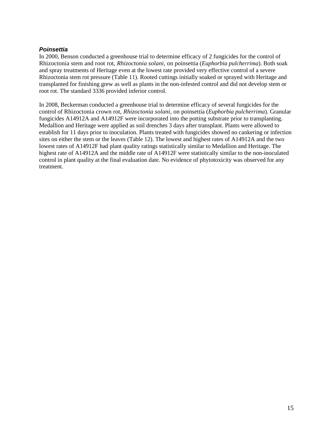#### <span id="page-14-0"></span>*Poinsettia*

In 2000, Benson conducted a greenhouse trial to determine efficacy of 2 fungicides for the control of Rhizoctonia stem and root rot, *Rhizoctonia solani,* on poinsettia (*Euphorbia pulcherrima*). Both soak and spray treatments of Heritage even at the lowest rate provided very effective control of a severe Rhizoctonia stem rot pressure [\(Table 11\)](#page-15-0). Rooted cuttings initially soaked or sprayed with Heritage and transplanted for finishing grew as well as plants in the non-infested control and did not develop stem or root rot. The standard 3336 provided inferior control.

In 2008, Beckerman conducted a greenhouse trial to determine efficacy of several fungicides for the control of Rhizoctonia crown rot, *Rhizoctonia solani,* on poinsettia (*Euphorbia pulcherrima*). Granular fungicides A14912A and A14912F were incorporated into the potting substrate prior to transplanting. Medallion and Heritage were applied as soil drenches 3 days after transplant. Plants were allowed to establish for 11 days prior to inoculation. Plants treated with fungicides showed no cankering or infection sites on either the stem or the leaves [\(Table 12\)](#page-16-1). The lowest and highest rates of A14912A and the two lowest rates of A14912F had plant quality ratings statistically similar to Medallion and Heritage. The highest rate of A14912A and the middle rate of A14912F were statistically similar to the non-inoculated control in plant quality at the final evaluation date. No evidence of phytotoxicity was observed for any treatment.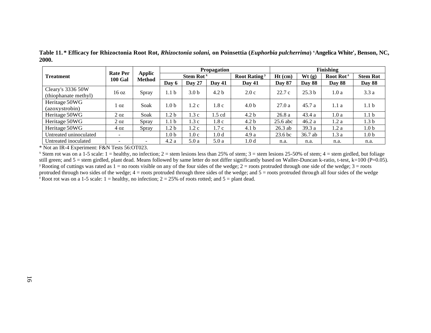|                                           | <b>Rate Per</b> |                                |                  | <b>Propagation</b>    |                  |                                 | Finishing          |                   |                       |                  |
|-------------------------------------------|-----------------|--------------------------------|------------------|-----------------------|------------------|---------------------------------|--------------------|-------------------|-----------------------|------------------|
| <b>Treatment</b>                          | <b>100 Gal</b>  | <b>Applic</b><br><b>Method</b> |                  | Stem Rot <sup>x</sup> |                  | <b>Root Rating</b> <sup>y</sup> | $Ht$ (cm)          | Wt(g)             | Root Rot <sup>z</sup> | <b>Stem Rot</b>  |
|                                           |                 |                                | Day 6            | Day 27                | Day 41           | <b>Day 41</b>                   | <b>Day 87</b>      | <b>Day 88</b>     | <b>Day 88</b>         | <b>Day 88</b>    |
| Cleary's 3336 50W<br>(thiophanate methyl) | 16 oz           | Spray                          | 1.1 <sub>b</sub> | 3.0 <sub>b</sub>      | 4.2 <sub>b</sub> | 2.0c                            | 22.7c              | 25.3 <sub>b</sub> | 1.0a                  | 3.3a             |
| Heritage 50WG<br>(azoxystrobin)           | l oz            | Soak                           | 1.0 <sub>b</sub> | 1.2 c                 | 1.8c             | 4.0 <sub>b</sub>                | 27.0a              | 45.7a             | 1.1a                  | 1.1 <sub>b</sub> |
| Heritage 50WG                             | $2 \text{ oz}$  | Soak                           | 1.2 <sub>b</sub> | 1.3c                  | 1.5 cd           | 4.2 <sub>b</sub>                | 26.8a              | 43.4 a            | 1.0a                  | 1.1 <sub>b</sub> |
| Heritage 50WG                             | $2 \text{ oz}$  | Spray                          | 1.1 <sub>b</sub> | 1.3c                  | 1.8 c            | 4.2 <sub>b</sub>                | $25.6$ abc         | 46.2a             | 1.2a                  | 1.3 <sub>b</sub> |
| Heritage 50WG                             | 40z             | Spray                          | 1.2 <sub>b</sub> | 1.2c                  | 1.7 c            | 4.1 <sub>b</sub>                | $26.3$ ab          | 39.3 a            | 1.2a                  | 1.0 <sub>b</sub> |
| Untreated uninoculated                    |                 |                                | 1.0 <sub>b</sub> | 1.0c                  | 1.0 <sub>d</sub> | 4.9a                            | 23.6 <sub>bc</sub> | 36.7 ab           | 1.3a                  | 1.0 <sub>b</sub> |
| Untreated inoculated                      |                 |                                | 4.2a             | 5.0a                  | 5.0a             | 1.0 <sub>d</sub>                | n.a.               | n.a.              | n.a.                  | n.a.             |

**Table 11. \* Efficacy for Rhizoctonia Root Rot,** *Rhizoctonia solani,* **on Poinsettia (***Euphorbia pulcherrima***) 'Angelica White', Benson, NC, 2000.**

<span id="page-15-0"></span>\* Not an IR-4 Experiment: F&N Tests 56:OT023.

<sup>x</sup> Stem rot was on a 1-5 scale: 1 = healthy, no infection; 2 = stem lesions less than 25% of stem; 3 = stem lesions 25-50% of stem; 4 = stem girdled, but foliage still green; and  $5$  = stem girdled, plant dead. Means followed by same letter do not differ significantly based on Waller-Duncan k-ratio, t-test, k=100 (P=0.05). <sup>y</sup> Rooting of cuttings was rated as  $1 =$  no roots visible on any of the four sides of the wedge;  $2 =$  roots protruded through one side of the wedge;  $3 =$  roots protruded through two sides of the wedge;  $4 =$  roots protruded through three sides of the wedge; and  $5 =$  roots protruded through all four sides of the wedge <sup>z</sup> Root rot was on a 1-5 scale: 1 = healthy, no infection; 2 = 25% of roots rotted; and 5 = plant dead.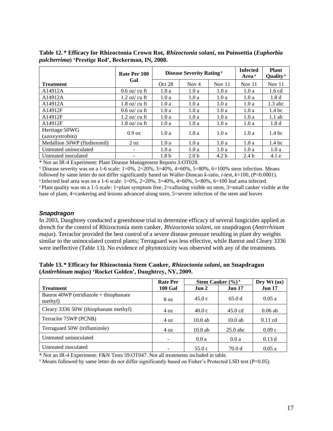|                                 | Rate Per 100                            |                  | <b>Disease Severity Rating x</b> | <b>Infected</b><br>Area $y$ | <b>Plant</b><br>Quality <sup>2</sup> |                   |
|---------------------------------|-----------------------------------------|------------------|----------------------------------|-----------------------------|--------------------------------------|-------------------|
| <b>Treatment</b>                | Gal                                     | Oct 28           | Nov $4$                          | Nov $11$                    | Nov $11$                             | Nov $11$          |
| A14912A                         | $0.6$ oz/cu ft                          | 1.0a             | 1.0a                             | 1.0a                        | 1.0a                                 | $1.6 \text{ cd}$  |
| A14912A                         | $1.2$ oz/cu ft                          | 1.0a             | 1.0a                             | 1.0a                        | 1.0a                                 | 1.8 <sub>d</sub>  |
| A14912A                         | $1.8 \text{ oz}/ \text{ cu } \text{ft}$ | 1.0a             | 1.0a                             | 1.0a                        | 1.0a                                 | $1.3$ abc         |
| A14912F                         | $0.6$ oz/cu ft                          | 1.0a             | 1.0a                             | 1.0a                        | 1.0a                                 | 1.4 <sub>bc</sub> |
| A14912F                         | $1.2$ oz/cu ft                          | 1.0a             | 1.0a                             | 1.0a                        | 1.0a                                 | $1.1$ ab          |
| A14912F                         | $1.8$ oz/cu ft                          | 1.0a             | 1.0a                             | 1.0a                        | 1.0a                                 | 1.8 <sub>d</sub>  |
| Heritage 50WG<br>(azoxystrobin) | $0.9 \text{ oz}$                        | 1.0a             | 1.0a                             | 1.0a                        | 1.0a                                 | 1.4 <sub>bc</sub> |
| Medallion 50WP (fludioxonil)    | $2 \text{ oz}$                          | 1.0a             | 1.0a                             | 1.0a                        | 1.0a                                 | 1.4 <sub>bc</sub> |
| Untreated uninoculated          | $\overline{\phantom{a}}$                | 1.0a             | 1.0a                             | 1.0a                        | 1.0a                                 | 1.0a              |
| Untreated inoculated            | -                                       | 1.8 <sub>b</sub> | 2.0 <sub>b</sub>                 | 4.2 <sub>b</sub>            | 2.4 <sub>b</sub>                     | 4.1 e             |

<span id="page-16-1"></span>**Table 12. \* Efficacy for Rhizoctonia Crown Rot,** *Rhizoctonia solani***, on Poinsettia (***Euphorbia pulcherrima***) 'Prestige Red', Beckerman, IN, 2008.**

\* Not an IR-4 Experiment: Plant Disease Management Reports 3:OT028.

 $\frac{\pi}{2}$  Disease severity was on a 1-6 scale: 1=0%, 2=20%, 3=40%, 4=60%, 5=80%, 6=100% stem infection. Means followed by same letter do not differ significantly based on Waller-Duncan *k*-ratio, *t*-test, *k*=100, (P=0.0001).

<sup>y</sup> Infected leaf area was on a 1-6 scale:  $1=0\%$ ,  $2=20\%$ ,  $3=40\%$ ,  $4=60\%$ ,  $5=80\%$ ,  $6=100$  leaf area infected.

 $\alpha$ Plant quality was on a 1-5 scale: 1=plant symptom free, 2=callusing visible on stem, 3=small canker visible at the base of plant, 4=cankering and lesions advanced along stem, 5=severe infection of the stem and leaves

#### <span id="page-16-0"></span>*Snapdragon*

In 2003, Daughtrey conducted a greenhouse trial to determine efficacy of several fungicides applied as drench for the control of Rhizoctonia stem canker, *Rhizoctonia solani,* on snapdragon (*Antirrhinum majus*). Terraclor provided the best control of a severe disease pressure resulting in plant dry weights similar to the uninoculated control plants; Terraguard was less effective, while Banrot and Cleary 3336 were ineffective [\(Table 13\)](#page-16-2). No evidence of phytotoxicity was observed with any of the treatments.

<span id="page-16-2"></span>**Table 13. \* Efficacy for Rhizoctonia Stem Canker,** *Rhizoctonia solani***, on Snapdragon (***Antirrhinum majus***) 'Rocket Golden', Daughtrey, NY, 2009.**

|                                                   | <b>Rate Per</b> | <b>Stem Canker</b> $(\frac{6}{6})^x$ | Dry Wt (oz)       |               |
|---------------------------------------------------|-----------------|--------------------------------------|-------------------|---------------|
| <b>Treatment</b>                                  | <b>100 Gal</b>  | Jun 2                                | <b>Jun 17</b>     | <b>Jun 17</b> |
| Banrot 40WP (etridiazole + thiophanate<br>methyl) | 8 oz            | 45.0c                                | 65.0d             | 0.05a         |
| Cleary 3336 50W (thiophanate methyl)              | 4 oz            | 40.0c                                | $45.0 \text{ cd}$ | $0.06$ ab     |
| Terraclor 75WP (PCNB)                             | 4 oz            | $10.0$ ab                            | $10.0$ ab         | $0.11$ cd     |
| Terraguard 50W (triflumizole)                     | 4 oz            | $10.0$ ab                            | $25.0$ abc        | 0.09c         |
| Untreated uninoculated                            |                 | 0.0a                                 | 0.0a              | 0.13d         |
| Untreated inoculated                              |                 | 55.0c                                | 70.0 d            | 0.05a         |

\* Not an IR-4 Experiment: F&N Tests 59:OT047. Not all treatments included in table.

 $x$  Means followed by same letter do not differ significantly based on Fisher's Protected LSD test (P=0.05).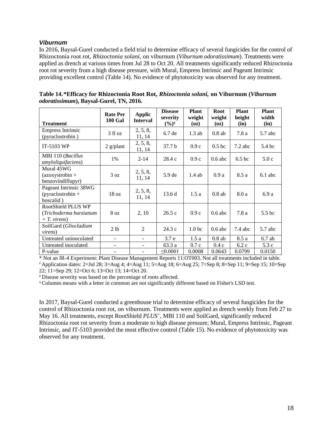#### <span id="page-17-0"></span>*Viburnum*

In 2016, Baysal-Gurel conducted a field trial to determine efficacy of several fungicides for the control of Rhizoctonia root rot, *Rhizoctonia solani,* on viburnum (*Viburnum odoratissimum*). Treatments were applied as drench at various times from Jul 28 to Oct 20. All treatments significantly reduced Rhizoctonia root rot severity from a high disease pressure, with Mural, Empress Intrinsic and Pageant Intrinsic providing excellent control [\(Table 14\)](#page-17-1). No evidence of phytotoxicity was observed for any treatment.

| <b>Treatment</b>                                              | <b>Rate Per</b><br><b>100 Gal</b> | <b>Applic</b><br><b>Interval</b> | <b>Disease</b><br>severity<br>$(\frac{6}{9})^y$ | <b>Plant</b><br>weight<br>(oz) | Root<br>weight<br>(oz) | <b>Plant</b><br>height<br>(in) | <b>Plant</b><br>width<br>(in) |
|---------------------------------------------------------------|-----------------------------------|----------------------------------|-------------------------------------------------|--------------------------------|------------------------|--------------------------------|-------------------------------|
| <b>Empress Intrinsic</b><br>(pyraclostrobin)                  | $3$ fl oz                         | 2, 5, 8,<br>11, 14               | 6.7de                                           | $1.3$ ab                       | $0.8$ ab               | 7.8a                           | $5.7$ abc                     |
| IT-5103 WP                                                    | $2$ g/plant                       | 2, 5, 8,<br>11, 14               | 37.7 <sub>b</sub>                               | 0.9c                           | 0.5 <sub>bc</sub>      | $7.2$ abc                      | 5.4 bc                        |
| MBI 110 (Bacillus<br><i>amyloliquifaciens</i> )               | 1%                                | $2 - 14$                         | 28.4c                                           | 0.9c                           | $0.6$ abc              | 6.5 <sub>bc</sub>              | 5.0c                          |
| Mural 45WG<br>$(azoxystrobin +$<br>benzovindiflupyr)          | 3 oz                              | 2, 5, 8,<br>11, 14               | 5.9 <sub>de</sub>                               | $1.4$ ab                       | 0.9a                   | 8.5 a                          | $6.1$ abc                     |
| Pageant Intrinsic 38WG<br>$(pyraclostrobin +$<br>boscalid)    | 18 oz                             | 2, 5, 8,<br>11, 14               | 13.6d                                           | 1.5a                           | $0.8$ ab               | 8.0 a                          | 6.9a                          |
| RootShield PLUS WP<br>(Trichoderma harzianum<br>$+T.$ virens) | 8 <sub>oz</sub>                   | 2, 10                            | 26.5c                                           | 0.9c                           | $0.6$ abc              | 7.8a                           | 5.5 <sub>bc</sub>             |
| SoilGard (Gliocladium<br><i>virens</i> )                      | 2 lb                              | 2                                | 24.3c                                           | 1.0 <sub>bc</sub>              | $0.6$ abc              | $7.4$ abc                      | 5.7 abc                       |
| Untreated uninoculated                                        | $\blacksquare$                    | $\sim$                           | 3.7 <sub>e</sub>                                | 1.5a                           | $0.8$ ab               | 8.5 a                          | $6.7$ ab                      |
| Untreated inoculated                                          | ۰                                 |                                  | 63.3 a                                          | 0.7c                           | 0.4c                   | 6.2c                           | 5.3c                          |
| P-value                                                       |                                   |                                  | $\leq 0.0001$                                   | 0.0008                         | 0.0643                 | 0.0799                         | 0.0150                        |

<span id="page-17-1"></span>

| Table 14.*Efficacy for Rhizoctonia Root Rot, Rhizoctonia solani, on Viburnum (Viburnum |  |  |
|----------------------------------------------------------------------------------------|--|--|
| <i>odoratissimum</i> ), Baysal-Gurel, TN, 2016.                                        |  |  |

\* Not an IR-4 Experiment: Plant Disease Management Reports 11:OT003. Not all treatments included in table. <sup>z</sup> Application dates: 2=Jul 28; 3=Aug 4; 4=Aug 11; 5=Aug 18; 6=Aug 25; 7=Sep 8; 8=Sep 11; 9=Sep 15; 10=Sep 22; 11=Sep 29; 12=Oct 6; 13=Oct 13; 14=Oct 20.

<sup>y</sup>Disease severity was based on the percentage of roots affected.

<sup>x</sup>Columns means with a letter in common are not significantly different based on Fisher's LSD test.

In 2017, Baysal-Gurel conducted a greenhouse trial to determine efficacy of several fungicides for the control of Rhizoctonia root rot, on viburnum. Treatments were applied as drench weekly from Feb 27 to May 16. All treatments, except RootShield *PLUS<sup>+</sup>* , MBI 110 and SoilGard, significantly reduced Rhizoctonia root rot severity from a moderate to high disease pressure; Mural, Empress Intrinsic, Pageant Intrinsic, and IT-5103 provided the most effective control [\(Table 15\)](#page-18-1). No evidence of phytotoxicity was observed for any treatment.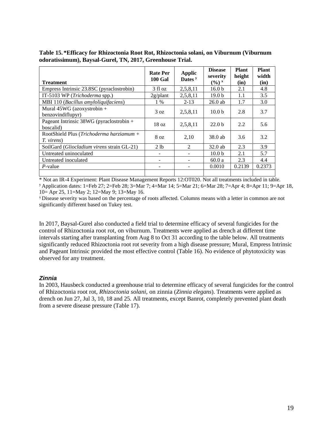| <b>Treatment</b>                                        | <b>Rate Per</b><br><b>100 Gal</b> | Applic<br>Dates <sup>y</sup> | <b>Disease</b><br>severity<br>$(\frac{6}{9})^x$ | <b>Plant</b><br>height<br>(in) | <b>Plant</b><br>width<br>(in) |
|---------------------------------------------------------|-----------------------------------|------------------------------|-------------------------------------------------|--------------------------------|-------------------------------|
| Empress Intrinsic 23.8SC (pyraclostrobin)               | 3 fl oz                           | 2,5,8,11                     | 16.0 <sub>b</sub>                               | 2.1                            | 4.8                           |
| IT-5103 WP (Trichoderma spp.)                           | $2g$ /plant                       | 2,5,8,11                     | 19.0 <sub>b</sub>                               | 1.1                            | 3.5                           |
| MBI 110 (Bacillus amyloliquifaciens)                    | $1\%$                             | $2 - 13$                     | $26.0$ ab                                       | 1.7                            | 3.0                           |
| Mural 45WG (azoxystrobin +<br>benzovindiflupyr)         | 3 oz                              | 2,5,8,11                     | 10.0 <sub>b</sub>                               | 2.8                            | 3.7                           |
| Pageant Intrinsic $38WG$ (pyraclostrobin +<br>boscalid) | 18 oz                             | 2,5,8,11                     | 22.0 <sub>b</sub>                               | 2.2                            | 5.6                           |
| RootShield Plus (Trichoderma harziamum +<br>T. virens)  | 8 oz                              | 2,10                         | 38.0 ab                                         | 3.6                            | 3.2                           |
| SoilGard (Gliocladium virens strain GL-21)              | 2 lb                              | $\mathcal{D}_{\mathcal{L}}$  | $32.0$ ab                                       | 2.3                            | 3.9                           |
| Untreated uninoculated                                  |                                   |                              | 10.0 <sub>b</sub>                               | 2.1                            | 5.7                           |
| Untreated inoculated                                    |                                   |                              | 60.0a                                           | 2.3                            | 4.4                           |
| $P$ -value                                              |                                   |                              | 0.0010                                          | 0.2139                         | 0.2373                        |
|                                                         |                                   |                              |                                                 |                                |                               |

<span id="page-18-1"></span>**Table 15. \*Efficacy for Rhizoctonia Root Rot, Rhizoctonia solani, on Viburnum (Viburnum odoratissimum), Baysal-Gurel, TN, 2017, Greenhouse Trial.**

\* Not an IR-4 Experiment: Plant Disease Management Reports 12:OT020. Not all treatments included in table. <sup>y</sup>Application dates: 1=Feb 27; 2=Feb 28; 3=Mar 7; 4=Mar 14; 5=Mar 21; 6=Mar 28; 7=Apr 4; 8=Apr 11; 9=Apr 18, 10= Apr 25, 11=May 2; 12=May 9; 13=May 16.

<sup>x</sup> Disease severity was based on the percentage of roots affected. Columns means with a letter in common are not significantly different based on Tukey test.

In 2017, Baysal-Gurel also conducted a field trial to determine efficacy of several fungicides for the control of Rhizoctonia root rot, on viburnum. Treatments were applied as drench at different time intervals starting after transplanting from Aug 8 to Oct 31 according to the table below. All treatments significantly reduced Rhizoctonia root rot severity from a high disease pressure; Mural, Empress Intrinsic and Pageant Intrinsic provided the most effective control [\(Table 16\)](#page-19-0). No evidence of phytotoxicity was observed for any treatment.

#### <span id="page-18-0"></span>*Zinnia*

In 2003, Hausbeck conducted a greenhouse trial to determine efficacy of several fungicides for the control of Rhizoctonia root rot, *Rhizoctonia solani,* on zinnia (*Zinnia elegans*). Treatments were applied as drench on Jun 27, Jul 3, 10, 18 and 25. All treatments, except Banrot, completely prevented plant death from a severe disease pressure [\(Table 17\)](#page-20-0).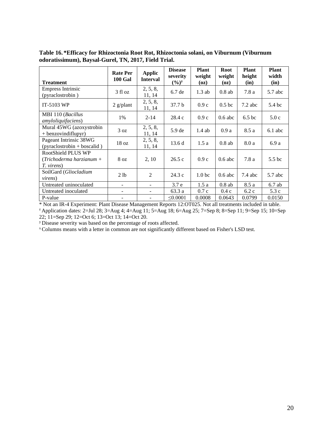**Treatment Rate Per 100 Gal Applic Interval Disease severity**   $(^{0}/_{0})^{y}$ **Plant weight (oz) Root weight (oz) Plant height (in) Plant width (in)** Empress Intrinsic Empress Intrinsic<br>
(pyraclostrobin)  $3 \text{ fl oz}$   $2, 5, 8,$ <br>  $11, 14$  $11, 14$  6.7 de 1.3 ab 0.8 ab 7.8 a 5.7 abc IT-5103 WP 2 g/plant  $\begin{array}{|c|c|c|c|c|} \hline 2 & 2 & 2 & 11 & 14 \ \hline \end{array}$  $11, 14$  37.7 b 0.9 c 0.5 bc 7.2 abc 5.4 bc MBI 110 (*Bacillus amyloliquifaciens*) 1% | 2-14 | 28.4 c | 0.9 c | 0.6 abc | 6.5 bc | 5.0 c Mural 45WG (azoxystrobin  $+$  benzovindiflupyr) 3 oz  $\begin{array}{|l|l|} 2, 5, 8, \end{array}$  11, 14  $11, 14$  5.9 de 1.4 ab 0.9 a 8.5 a 6.1 abc Pageant Intrinsic 38WG Pageant Intrinsic 38WG<br>(pyraclostrobin + boscalid)  $\begin{array}{|c|c|c|c|c|} \hline 18 & 2, 5, 8, \end{array}$  $11, 14$  13.6 d 1.5 a 0.8 ab 8.0 a 6.9 a RootShield PLUS WP (*Trichoderma harzianum + T. virens*) 8 oz | 2, 10 | 26.5 c | 0.9 c | 0.6 abc | 7.8 a | 5.5 bc SoilGard (*Gliocladium virens*) 2 lb 2 24.3 c 1.0 bc 0.6 abc 7.4 abc 5.7 abc Untreated uninoculated  $\begin{vmatrix} -1.5a & 0.8ab & 8.5a & 6.7ab \end{vmatrix}$ Untreated inoculated  $\begin{vmatrix} -1 & -1 \\ 0.3 & 0.7 \end{vmatrix}$  =  $\begin{vmatrix} 6.3 & 0.7 \\ 0.4 & 0.4 \end{vmatrix}$  =  $\begin{vmatrix} 0.4 & 0.2 \\ 0.4 & 0.2 \end{vmatrix}$  =  $\begin{vmatrix} 6.2 & 0.7 \\ 0.4 & 0.7 \end{vmatrix}$ P-value  $\vert$  -  $\vert$  =  $\vert$   $\leq$  0.0001 | 0.0008 | 0.0643 | 0.0799 | 0.0150

<span id="page-19-0"></span>**Table 16. \*Efficacy for Rhizoctonia Root Rot, Rhizoctonia solani, on Viburnum (Viburnum odoratissimum), Baysal-Gurel, TN, 2017, Field Trial.**

\* Not an IR-4 Experiment: Plant Disease Management Reports 12:OT025. Not all treatments included in table.

<sup>z</sup> Application dates: 2=Jul 28; 3=Aug 4; 4=Aug 11; 5=Aug 18; 6=Aug 25; 7=Sep 8; 8=Sep 11; 9=Sep 15; 10=Sep 22; 11=Sep 29; 12=Oct 6; 13=Oct 13; 14=Oct 20.

<sup>y</sup>Disease severity was based on the percentage of roots affected.

x Columns means with a letter in common are not significantly different based on Fisher's LSD test.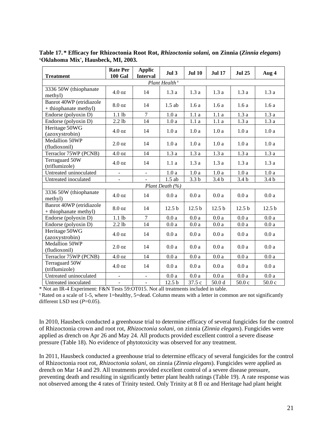| <b>Treatment</b>                                  | <b>Rate Per</b><br><b>100 Gal</b> | <b>Applic</b><br><b>Interval</b> | Jul <sub>3</sub>          | <b>Jul 10</b>     | <b>Jul 17</b>     | <b>Jul 25</b>     | Aug 4             |
|---------------------------------------------------|-----------------------------------|----------------------------------|---------------------------|-------------------|-------------------|-------------------|-------------------|
|                                                   |                                   |                                  | Plant Health <sup>x</sup> |                   |                   |                   |                   |
| 3336 50W (thiophanate<br>methyl)                  | 4.0 oz                            | 14                               | 1.3a                      | 1.3a              | 1.3a              | 1.3a              | 1.3a              |
| Banrot 40WP (etridiazole<br>+ thiophanate methyl) | 8.0 oz                            | 14                               | $1.5$ ab                  | 1.6a              | 1.6a              | 1.6a              | 1.6a              |
| Endorse (polyoxin D)                              | $1.1$ lb                          | $\overline{7}$                   | 1.0a                      | 1.1a              | 1.1a              | 1.3a              | 1.3a              |
| Endorse (polyoxin D)                              | $2.2$ lb                          | 14                               | 1.0a                      | 1.1a              | 1.1a              | 1.3a              | 1.3a              |
| Heritage 50WG<br>(azoxystrobin)                   | 4.0 oz                            | 14                               | 1.0a                      | 1.0a              | 1.0a              | 1.0a              | 1.0a              |
| Medallion 50WP<br>(fludioxonil)                   | $2.0 \text{ oz}$                  | 14                               | 1.0a                      | 1.0a              | 1.0a              | 1.0a              | 1.0a              |
| Terraclor 75WP (PCNB)                             | 4.0 oz                            | 14                               | 1.3a                      | 1.3a              | 1.3a              | 1.3a              | 1.3a              |
| Terraguard 50W<br>(triflumizole)                  | 4.0 oz                            | 14                               | 1.1a                      | 1.3a              | 1.3a              | 1.3a              | 1.3a              |
| Untreated uninoculated                            | $\blacksquare$                    | $\blacksquare$                   | 1.0a                      | 1.0a              | 1.0a              | 1.0a              | 1.0a              |
| Untreated inoculated                              |                                   |                                  | $1.5$ ab                  | 3.3 <sub>b</sub>  | 3.4 <sub>b</sub>  | 3.4 <sub>b</sub>  | 3.4 <sub>b</sub>  |
|                                                   |                                   |                                  | Plant Death (%)           |                   |                   |                   |                   |
| 3336 50W (thiophanate<br>methyl)                  | 4.0 oz                            | 14                               | 0.0a                      | 0.0a              | $0.0\:\mathrm{a}$ | 0.0a              | 0.0a              |
| Banrot 40WP (etridiazole<br>+ thiophanate methyl) | 8.0 oz                            | 14                               | 12.5 <sub>b</sub>         | 12.5 <sub>b</sub> | 12.5 <sub>b</sub> | 12.5 <sub>b</sub> | 12.5 <sub>b</sub> |
| Endorse (polyoxin D)                              | $1.1$ lb                          | $\overline{7}$                   | 0.0a                      | $0.0\ \mathrm{a}$ | 0.0a              | 0.0a              | 0.0a              |
| Endorse (polyoxin D)                              | $2.2$ lb                          | 14                               | $0.0\ \mathrm{a}$         | 0.0a              | 0.0a              | $0.0\:\mathrm{a}$ | 0.0a              |
| Heritage 50WG<br>(azoxystrobin)                   | 4.0 oz                            | 14                               | 0.0a                      | 0.0a              | 0.0a              | 0.0a              | 0.0a              |
| Medallion 50WP<br>(fludioxonil)                   | 2.0 oz                            | 14                               | 0.0a                      | 0.0a              | 0.0a              | 0.0a              | 0.0a              |
| Terraclor 75WP (PCNB)                             | 4.0 oz                            | 14                               | 0.0a                      | 0.0a              | 0.0a              | 0.0a              | 0.0a              |
| Terraguard 50W<br>(triflumizole)                  | 4.0 oz                            | 14                               | 0.0a                      | 0.0a              | 0.0a              | 0.0a              | 0.0a              |
| Untreated uninoculated                            | $\qquad \qquad \blacksquare$      | $\overline{\phantom{a}}$         | 0.0a                      | 0.0a              | 0.0a              | 0.0a              | 0.0a              |
| Untreated inoculated                              |                                   |                                  | 12.5 <sub>b</sub>         | 37.5 c            | 50.0 <sub>d</sub> | 50.0c             | 50.0c             |

<span id="page-20-0"></span>**Table 17. \* Efficacy for Rhizoctonia Root Rot,** *Rhizoctonia solani,* **on Zinnia (***Zinnia elegans***) 'Oklahoma Mix', Hausbeck, MI, 2003.**

\* Not an IR-4 Experiment: F&N Tests 59:OT015. Not all treatments included in table.

<sup>x</sup>Rated on a scale of 1-5, where 1=healthy, 5=dead. Column means with a letter in common are not significantly different LSD test (*P*=0.05).

In 2010, Hausbeck conducted a greenhouse trial to determine efficacy of several fungicides for the control of Rhizoctonia crown and root rot, *Rhizoctonia solani,* on zinnia (*Zinnia elegans*). Fungicides were applied as drench on Apr 26 and May 24. All products provided excellent control a severe disease pressure [\(Table 18\)](#page-21-0). No evidence of phytotoxicity was observed for any treatment.

In 2011, Hausbeck conducted a greenhouse trial to determine efficacy of several fungicides for the control of Rhizoctonia root rot, *Rhizoctonia solani,* on zinnia (*Zinnia elegans*). Fungicides were applied as drench on Mar 14 and 29. All treatments provided excellent control of a severe disease pressure, preventing death and resulting in significantly better plant health ratings [\(Table 19\)](#page-22-0). A rate response was not observed among the 4 rates of Trinity tested. Only Trinity at 8 fl oz and Heritage had plant height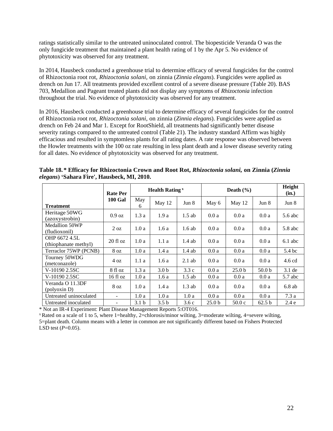ratings statistically similar to the untreated uninoculated control. The biopesticide Veranda O was the only fungicide treatment that maintained a plant health rating of 1 by the Apr 5. No evidence of phytotoxicity was observed for any treatment.

In 2014, Hausbeck conducted a greenhouse trial to determine efficacy of several fungicides for the control of Rhizoctonia root rot, *Rhizoctonia solani,* on zinnia (*Zinnia elegans*). Fungicides were applied as drench on Jun 17. All treatments provided excellent control of a severe disease pressure [\(Table 20\)](#page-22-1). BAS 703, Medallion and Pageant treated plants did not display any symptoms of *Rhizoctonia* infection throughout the trial. No evidence of phytotoxicity was observed for any treatment.

In 2016, Hausbeck conducted a greenhouse trial to determine efficacy of several fungicides for the control of Rhizoctonia root rot, *Rhizoctonia solani,* on zinnia (*Zinnia elegans*). Fungicides were applied as drench on Feb 24 and Mar 1. Except for RootShield, all treatments had significantly better disease severity ratings compared to the untreated control [\(Table 21\)](#page-23-7). The industry standard Affirm was highly efficacious and resulted in symptomless plants for all rating dates. A rate response was observed between the Howler treatments with the 100 oz rate resulting in less plant death and a lower disease severity rating for all dates. No evidence of phytotoxicity was observed for any treatment.

|                                        | <b>Rate Per</b> |                  | <b>Health Rating</b> <sup>x</sup> |          |        | Death $(\% )$     |                   |           |  |
|----------------------------------------|-----------------|------------------|-----------------------------------|----------|--------|-------------------|-------------------|-----------|--|
| <b>Treatment</b>                       | <b>100 Gal</b>  | May<br>6         | May 12                            | Jun 8    | May 6  | May 12            | Jun 8             | Jun 8     |  |
| Heritage 50WG<br>(azoxystrobin)        | 0.9 oz          | 1.3a             | 1.9a                              | $1.5$ ab | 0.0a   | 0.0a              | 0.0a              | 5.6 abc   |  |
| <b>Medallion 50WP</b><br>(fludioxonil) | $2 \text{ oz}$  | 1.0a             | 1.6a                              | $1.6$ ab | 0.0a   | 0.0a              | 0.0a              | $5.8$ abc |  |
| OHP 6672 4.5L<br>(thiophanate methyl)  | $20$ fl oz      | 1.0a             | 1.1a                              | $1.4$ ab | 0.0a   | 0.0a              | 0.0a              | $6.1$ abc |  |
| Terraclor 75WP (PCNB)                  | 8 <sub>oz</sub> | 1.0a             | 1.4a                              | $1.4$ ab | 0.0a   | 0.0a              | 0.0a              | 5.4 bc    |  |
| Tourney 50WDG<br>(metconazole)         | 4 oz            | 1.1a             | 1.6a                              | $2.1$ ab | 0.0a   | 0.0a              | 0.0a              | $4.6$ cd  |  |
| V-10190 2.5SC                          | 8 fl oz         | 1.3a             | 3.0 <sub>b</sub>                  | 3.3c     | 0.0a   | 25.0 <sub>b</sub> | 50.0 <sub>b</sub> | $3.1$ de  |  |
| V-10190 2.5SC                          | 16 fl oz        | 1.0a             | 1.6a                              | $1.5$ ab | 0.0a   | 0.0a              | 0.0a              | $5.7$ abc |  |
| Veranda O 11.3DF<br>(polyoxin D)       | 8 <sub>oz</sub> | 1.0a             | 1.4a                              | $1.3$ ab | 0.0a   | 0.0a              | 0.0a              | $6.8$ ab  |  |
| Untreated uninoculated                 |                 | 1.0a             | 1.0a                              | 1.0a     | 0.0a   | 0.0a              | 0.0a              | 7.3a      |  |
| Untreated inoculated                   |                 | 3.1 <sub>b</sub> | 3.5 <sub>b</sub>                  | 3.6c     | 25.0 b | 50.0c             | 62.5 <sub>b</sub> | 2.4e      |  |

<span id="page-21-0"></span>

| Table 18.* Efficacy for Rhizoctonia Crown and Root Rot, Rhizoctonia solani, on Zinnia (Zinnia |  |  |
|-----------------------------------------------------------------------------------------------|--|--|
| elegans) 'Sahara Fire', Hausbeck, MI, 2010.                                                   |  |  |

\* Not an IR-4 Experiment: Plant Disease Management Reports 5:OT016.

<sup>x</sup>Rated on a scale of 1 to 5, where 1=healthy, 2=chlorosis/minor wilting, 3=moderate wilting, 4=severe wilting, 5=plant death. Column means with a letter in common are not significantly different based on Fishers Protected LSD test (*P*=0.05).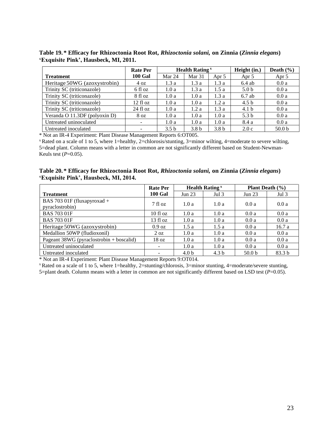<span id="page-22-0"></span>**Table 19. \* Efficacy for Rhizoctonia Root Rot,** *Rhizoctonia solani,* **on Zinnia (***Zinnia elegans***) 'Exquisite Pink', Hausbeck, MI, 2011.**

|                               | <b>Rate Per</b>    | <b>Health Rating</b> <sup>x</sup> |                   |                  | Height (in.)     | Death $(\% )$     |
|-------------------------------|--------------------|-----------------------------------|-------------------|------------------|------------------|-------------------|
| <b>Treatment</b>              | <b>100 Gal</b>     | Mar 24                            | Mar <sub>31</sub> | Apr 5            | Apr 5            | Apr 5             |
| Heritage 50WG (azoxystrobin)  | 4 oz               | 1.3a                              | 1.3a              | 1.3a             | $6.4$ ab         | 0.0a              |
| Trinity SC (triticonazole)    | 6 fl oz            | 1.0a                              | 1.3a              | 1.5a             | 5.0 <sub>b</sub> | 0.0a              |
| Trinity SC (triticonazole)    | 8 fl oz            | 1.0a                              | 1.0a              | 1.3a             | $6.7$ ab         | 0.0a              |
| Trinity SC (triticonazole)    | $12 \text{ fl oz}$ | 1.0a                              | 1.0a              | 1.2a             | 4.5 <sub>b</sub> | 0.0a              |
| Trinity SC (triticonazole)    | $24$ fl $oz$       | 1.0a                              | 1.2a              | 1.3a             | 4.1 <sub>b</sub> | 0.0a              |
| Veranda O 11.3DF (polyoxin D) | 8 <sub>oz</sub>    | 1.0a                              | 1.0a              | 1.0a             | 5.3 <sub>b</sub> | 0.0a              |
| Untreated uninoculated        |                    | 1.0a                              | 1.0a              | 1.0a             | 8.4 a            | 0.0a              |
| Untreated inoculated          |                    | 3.5 <sub>b</sub>                  | 3.8 <sub>b</sub>  | 3.8 <sub>b</sub> | 2.0c             | 50.0 <sub>b</sub> |

\* Not an IR-4 Experiment: Plant Disease Management Reports 6:OT005.

<sup>x</sup>Rated on a scale of 1 to 5, where 1=healthy, 2=chlorosis/stunting, 3=minor wilting, 4=moderate to severe wilting, 5=dead plant. Column means with a letter in common are not significantly different based on Student-Newman-Keuls test (*P*=0.05).

<span id="page-22-1"></span>**Table 20. \* Efficacy for Rhizoctonia Root Rot,** *Rhizoctonia solani,* **on Zinnia (***Zinnia elegans***) 'Exquisite Pink', Hausbeck, MI, 2014.**

|                                                | <b>Rate Per</b>    |                  | <b>Health Rating</b> <sup>x</sup> | <b>Plant Death</b> $(\% )$ |                   |  |
|------------------------------------------------|--------------------|------------------|-----------------------------------|----------------------------|-------------------|--|
| <b>Treatment</b>                               | <b>100 Gal</b>     | Jun $23$         | Jul <sub>3</sub>                  | Jun 23                     | Jul <sub>3</sub>  |  |
| BAS 703 01F (fluxapyroxad +<br>pyraclostrobin) | $7 \text{ fl oz}$  | 1.0a             | 1.0a                              | 0.0a                       | 0.0a              |  |
| <b>BAS 703 01F</b>                             | $10f$ l oz         | 1.0a             | 1.0a                              | 0.0a                       | 0.0a              |  |
| <b>BAS 703 01F</b>                             | $13 \text{ fl oz}$ | 1.0a             | 1.0a                              | 0.0a                       | 0.0a              |  |
| Heritage 50WG (azoxystrobin)                   | $0.9 \text{ oz}$   | 1.5a             | 1.5a                              | 0.0a                       | 16.7a             |  |
| Medallion 50WP (fludioxonil)                   | $2 \Omega$         | 1.0a             | 1.0a                              | 0.0a                       | 0.0a              |  |
| Pageant 38WG (pyraclostrobin + boscalid)       | 18 <sub>oz</sub>   | 1.0a             | 1.0a                              | 0.0a                       | 0.0a              |  |
| Untreated uninoculated                         | -                  | 1.0a             | 1.0a                              | 0.0a                       | 0.0a              |  |
| Untreated inoculated                           | -                  | 4.0 <sub>b</sub> | 4.3 <sub>b</sub>                  | 50.0 <sub>b</sub>          | 83.3 <sub>b</sub> |  |

\* Not an IR-4 Experiment: Plant Disease Management Reports 9:OT014.

 $x$ Rated on a scale of 1 to 5, where 1=healthy, 2=stunting/chlorosis, 3=minor stunting, 4=moderate/severe stunting, 5=plant death. Column means with a letter in common are not significantly different based on LSD test  $(P=0.05)$ .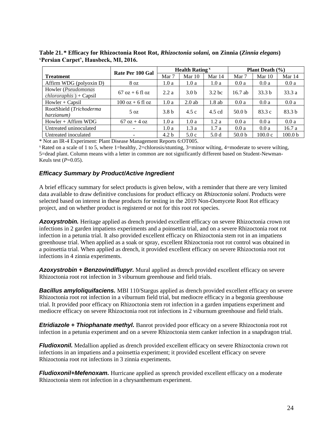<span id="page-23-7"></span>**Table 21. \* Efficacy for Rhizoctonia Root Rot,** *Rhizoctonia solani,* **on Zinnia (***Zinnia elegans***) 'Persian Carpet', Hausbeck, MI, 2016.**

|                                                  | Rate Per 100 Gal                  |                  | <b>Health Rating</b> <sup>x</sup> |                   | <b>Plant Death</b> $(\% )$ |                   |                    |  |
|--------------------------------------------------|-----------------------------------|------------------|-----------------------------------|-------------------|----------------------------|-------------------|--------------------|--|
| <b>Treatment</b>                                 |                                   | Mar 7            | Mar 10                            | Mar $14$          | Mar 7                      | Mar 10            | Mar 14             |  |
| Affirm WDG (polyoxin D)                          | 8 oz                              | 1.0a             | 1.0a                              | 1.0a              | 0.0a                       | 0.0a              | 0.0a               |  |
| Howler (Pseudomonas<br>$chlororaphis$ ) + Capsil | $67 \text{ oz} + 6 \text{ fl oz}$ | 2.2a             | 3.0 <sub>b</sub>                  | 3.2 <sub>bc</sub> | $16.7$ ab                  | 33.3 <sub>b</sub> | 33.3a              |  |
| $However + Capsil$                               | $100$ oz + 6 fl oz                | 1.0a             | $2.0$ ab                          | $1.8$ ab          | 0.0a                       | 0.0a              | 0.0a               |  |
| RootShield (Trichoderma<br>harzianum)            | $5 \Omega$                        | 3.8 <sub>b</sub> | 4.5c                              | 4.5 cd            | 50.0 <sub>b</sub>          | 83.3c             | 83.3 <sub>b</sub>  |  |
| $However + Affirm WDG$                           | $67 \text{ oz} + 4 \text{ oz}$    | 1.0a             | 1.0a                              | 1.2a              | 0.0a                       | 0.0a              | 0.0a               |  |
| Untreated uninoculated                           | ٠.                                | 1.0a             | 1.3a                              | 1.7a              | 0.0a                       | 0.0a              | 16.7a              |  |
| Untreated inoculated                             | -                                 | 4.2 <sub>b</sub> | 5.0c                              | 5.0 <sub>d</sub>  | 50.0 <sub>b</sub>          | 100.0c            | 100.0 <sub>b</sub> |  |

\* Not an IR-4 Experiment: Plant Disease Management Reports 6:OT005.

 $x$ Rated on a scale of 1 to 5, where 1=healthy, 2=chlorosis/stunting, 3=minor wilting, 4=moderate to severe wilting, 5=dead plant. Column means with a letter in common are not significantly different based on Student-Newman-Keuls test (*P*=0.05).

#### <span id="page-23-0"></span>*Efficacy Summary by Product/Active Ingredient*

A brief efficacy summary for select products is given below, with a reminder that there are very limited data available to draw definitive conclusions for product efficacy on *Rhizoctonia solani*. Products were selected based on interest in these products for testing in the 2019 Non-Oomycete Root Rot efficacy project, and on whether product is registered or not for this root rot species.

<span id="page-23-1"></span>*Azoxystrobin.* Heritage applied as drench provided excellent efficacy on severe Rhizoctonia crown rot infections in 2 garden impatiens experiments and a poinsettia trial, and on a severe Rhizoctonia root rot infection in a petunia trial. It also provided excellent efficacy on Rhizoctonia stem rot in an impatiens greenhouse trial. When applied as a soak or spray, excellent Rhizoctonia root rot control was obtained in a poinsettia trial. When applied as drench, it provided excellent efficacy on severe Rhizoctonia root rot infections in 4 zinnia experiments.

<span id="page-23-2"></span>*Azoxystrobin + Benzovindiflupyr.* Mural applied as drench provided excellent efficacy on severe Rhizoctonia root rot infection in 3 viburnum greenhouse and field trials.

<span id="page-23-3"></span>**Bacillus amyloliquifaciens.** MBI 110/Stargus applied as drench provided excellent efficacy on severe Rhizoctonia root rot infection in a viburnum field trial, but mediocre efficacy in a begonia greenhouse trial. It provided poor efficacy on Rhizoctonia stem rot infection in a garden impatiens experiment and mediocre efficacy on severe Rhizoctonia root rot infections in 2 viburnum greenhouse and field trials.

<span id="page-23-4"></span>*Etridiazole + Thiophanate methyl.* Banrot provided poor efficacy on a severe Rhizoctonia root rot infection in a petunia experiment and on a severe Rhizoctonia stem canker infection in a snapdragon trial.

<span id="page-23-5"></span>*Fludioxonil.* Medallion applied as drench provided excellent efficacy on severe Rhizoctonia crown rot infections in an impatiens and a poinsettia experiment; it provided excellent efficacy on severe Rhizoctonia root rot infections in 3 zinnia experiments.

<span id="page-23-6"></span>*Fludioxonil+Mefenoxam.* Hurricane applied as sprench provided excellent efficacy on a moderate Rhizoctonia stem rot infection in a chrysanthemum experiment.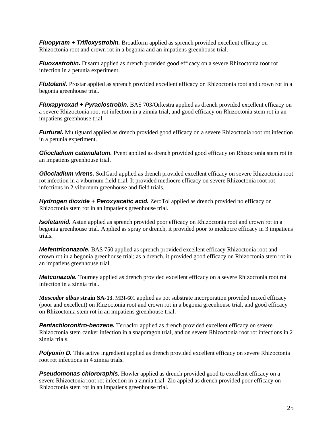<span id="page-24-0"></span>*Fluopyram + Trifloxystrobin.* Broadform applied as sprench provided excellent efficacy on Rhizoctonia root and crown rot in a begonia and an impatiens greenhouse trial.

<span id="page-24-1"></span>*Fluoxastrobin.* Disarm applied as drench provided good efficacy on a severe Rhizoctonia root rot infection in a petunia experiment.

<span id="page-24-2"></span>*Flutolanil.* Prostar applied as sprench provided excellent efficacy on Rhizoctonia root and crown rot in a begonia greenhouse trial.

<span id="page-24-3"></span>*Fluxapyroxad + Pyraclostrobin.* BAS 703/Orkestra applied as drench provided excellent efficacy on a severe Rhizoctonia root rot infection in a zinnia trial, and good efficacy on Rhizoctonia stem rot in an impatiens greenhouse trial.

<span id="page-24-4"></span>*Furfural.* Multiguard applied as drench provided good efficacy on a severe Rhizoctonia root rot infection in a petunia experiment.

<span id="page-24-5"></span>*Gliocladium catenulatum.* Pvent applied as drench provided good efficacy on Rhizoctonia stem rot in an impatiens greenhouse trial.

<span id="page-24-6"></span>*Gliocladium virens.* SoilGard applied as drench provided excellent efficacy on severe Rhizoctonia root rot infection in a viburnum field trial. It provided mediocre efficacy on severe Rhizoctonia root rot infections in 2 viburnum greenhouse and field trials.

<span id="page-24-7"></span>*Hydrogen dioxide + Peroxyacetic acid.* ZeroTol applied as drench provided no efficacy on Rhizoctonia stem rot in an impatiens greenhouse trial.

<span id="page-24-8"></span>**Isofetamid.** Astun applied as sprench provided poor efficacy on Rhizoctonia root and crown rot in a begonia greenhouse trial. Applied as spray or drench, it provided poor to mediocre efficacy in 3 impatiens trials.

<span id="page-24-9"></span>*Mefentriconazole.* BAS 750 applied as sprench provided excellent efficacy Rhizoctonia root and crown rot in a begonia greenhouse trial; as a drench, it provided good efficacy on Rhizoctonia stem rot in an impatiens greenhouse trial.

<span id="page-24-10"></span>*Metconazole.* Tourney applied as drench provided excellent efficacy on a severe Rhizoctonia root rot infection in a zinnia trial.

*Muscodor albus* **strain SA-13.** MBI-601 applied as pot substrate incorporation provided mixed efficacy (poor and excellent) on Rhizoctonia root and crown rot in a begonia greenhouse trial, and good efficacy on Rhizoctonia stem rot in an impatiens greenhouse trial.

<span id="page-24-11"></span>**Pentachloronitro-benzene.** Terraclor applied as drench provided excellent efficacy on severe Rhizoctonia stem canker infection in a snapdragon trial, and on severe Rhizoctonia root rot infections in 2 zinnia trials.

<span id="page-24-12"></span>**Polyoxin D.** This active ingredient applied as drench provided excellent efficacy on severe Rhizoctonia root rot infections in 4 zinnia trials.

<span id="page-24-13"></span>**Pseudomonas chlororaphis**. Howler applied as drench provided good to excellent efficacy on a severe Rhizoctonia root rot infection in a zinnia trial. Zio appied as drench provided poor efficacy on Rhizoctonia stem rot in an impatiens greenhouse trial.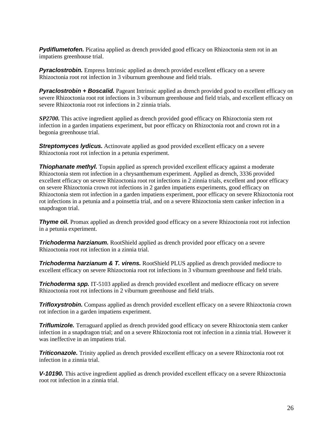<span id="page-25-0"></span>**Pydiflumetofen.** Picatina applied as drench provided good efficacy on Rhizoctonia stem rot in an impatiens greenhouse trial.

<span id="page-25-1"></span>**Pyraclostrobin.** Empress Intrinsic applied as drench provided excellent efficacy on a severe Rhizoctonia root rot infection in 3 viburnum greenhouse and field trials.

<span id="page-25-2"></span>*Pyraclostrobin + Boscalid.* Pageant Intrinsic applied as drench provided good to excellent efficacy on severe Rhizoctonia root rot infections in 3 viburnum greenhouse and field trials, and excellent efficacy on severe Rhizoctonia root rot infections in 2 zinnia trials.

*SP2700.* This active ingredient applied as drench provided good efficacy on Rhizoctonia stem rot infection in a garden impatiens experiment, but poor efficacy on Rhizoctonia root and crown rot in a begonia greenhouse trial.

<span id="page-25-3"></span>**Streptomyces lydicus.** Actinovate applied as good provided excellent efficacy on a severe Rhizoctonia root rot infection in a petunia experiment.

<span id="page-25-4"></span>**Thiophanate methyl.** Topsin applied as sprench provided excellent efficacy against a moderate Rhizoctonia stem rot infection in a chrysanthemum experiment. Applied as drench, 3336 provided excellent efficacy on severe Rhizoctonia root rot infections in 2 zinnia trials, excellent and poor efficacy on severe Rhizoctonia crown rot infections in 2 garden impatiens experiments, good efficacy on Rhizoctonia stem rot infection in a garden impatiens experiment, poor efficacy on severe Rhizoctonia root rot infections in a petunia and a poinsettia trial, and on a severe Rhizoctonia stem canker infection in a snapdragon trial.

<span id="page-25-5"></span>*Thyme oil.* Promax applied as drench provided good efficacy on a severe Rhizoctonia root rot infection in a petunia experiment.

<span id="page-25-6"></span>*Trichoderma harzianum.* RootShield applied as drench provided poor efficacy on a severe Rhizoctonia root rot infection in a zinnia trial.

<span id="page-25-7"></span>*Trichoderma harzianum & T. virens.* RootShield PLUS applied as drench provided mediocre to excellent efficacy on severe Rhizoctonia root rot infections in 3 viburnum greenhouse and field trials.

<span id="page-25-8"></span>**Trichoderma spp.** IT-5103 applied as drench provided excellent and mediocre efficacy on severe Rhizoctonia root rot infections in 2 viburnum greenhouse and field trials.

<span id="page-25-9"></span>**Trifloxystrobin.** Compass applied as drench provided excellent efficacy on a severe Rhizoctonia crown rot infection in a garden impatiens experiment.

<span id="page-25-10"></span>**Triflumizole.** Terraguard applied as drench provided good efficacy on severe Rhizoctonia stem canker infection in a snapdragon trial; and on a severe Rhizoctonia root rot infection in a zinnia trial. However it was ineffective in an impatiens trial.

<span id="page-25-11"></span>**Triticonazole.** Trinity applied as drench provided excellent efficacy on a severe Rhizoctonia root rot infection in a zinnia trial.

<span id="page-25-12"></span>*V-10190.* This active ingredient applied as drench provided excellent efficacy on a severe Rhizoctonia root rot infection in a zinnia trial.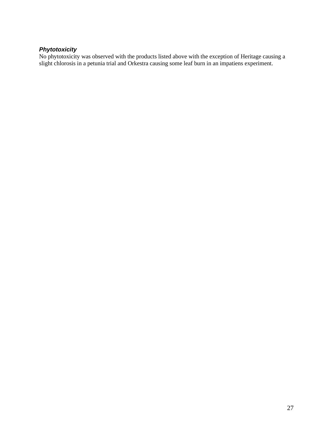#### <span id="page-26-0"></span>*Phytotoxicity*

No phytotoxicity was observed with the products listed above with the exception of Heritage causing a slight chlorosis in a petunia trial and Orkestra causing some leaf burn in an impatiens experiment.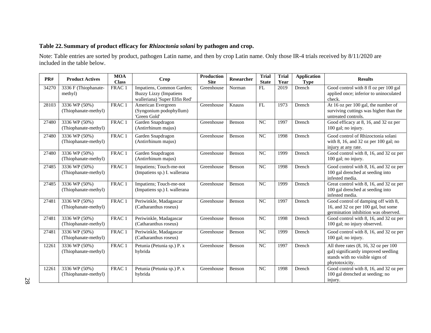## **Table 22.Summary of product efficacy for** *Rhizoctonia solani* **by pathogen and crop.**

Note: Table entries are sorted by product, pathogen Latin name, and then by crop Latin name. Only those IR-4 trials received by 8/11/2020 are included in the table below.

<span id="page-27-0"></span>

| PR#   | <b>Product Actives</b>                | <b>MOA</b><br><b>Class</b> | Crop                                                                                        | <b>Production</b><br><b>Site</b> | <b>Researcher</b> | <b>Trial</b><br><b>State</b> | <b>Trial</b><br>Year | <b>Application</b><br><b>Type</b> | <b>Results</b>                                                                                                                       |
|-------|---------------------------------------|----------------------------|---------------------------------------------------------------------------------------------|----------------------------------|-------------------|------------------------------|----------------------|-----------------------------------|--------------------------------------------------------------------------------------------------------------------------------------|
| 34270 | 3336 F (Thiophanate-<br>methyl)       | FRAC <sub>1</sub>          | Impatiens, Common Garden;<br><b>Buzzy Lizzy (Impatiens</b><br>walleriana) 'Super Elfin Red' | Greenhouse                       | Norman            | FL                           | 2019                 | Drench                            | Good control with 8 fl oz per 100 gal<br>applied once; inferior to uninoculated<br>check.                                            |
| 28103 | 3336 WP (50%)<br>(Thiophanate-methyl) | FRAC 1                     | American Evergreen<br>(Syngonium podophyllum)<br>'Green Gold'                               | Greenhouse                       | Knauss            | FL                           | 1973                 | Drench                            | At $16$ oz per 100 gal, the number of<br>surviving cuttings was higher than the<br>untreated controls.                               |
| 27480 | 3336 WP (50%)<br>(Thiophanate-methyl) | FRAC 1                     | Garden Snapdragon<br>(Antirrhinum majus)                                                    | Greenhouse                       | Benson            | NC                           | 1997                 | Drench                            | Good efficacy at 8, 16, and 32 oz per<br>100 gal; no injury.                                                                         |
| 27480 | 3336 WP (50%)<br>(Thiophanate-methyl) | FRAC 1                     | Garden Snapdragon<br>(Antirrhinum majus)                                                    | Greenhouse                       | Benson            | NC                           | 1998                 | Drench                            | Good control of Rhizoctonia solani<br>with 8, 16, and 32 oz per 100 gal; no<br>injury at any rate.                                   |
| 27480 | 3336 WP (50%)<br>(Thiophanate-methyl) | FRAC 1                     | Garden Snapdragon<br>(Antirrhinum majus)                                                    | Greenhouse                       | Benson            | NC                           | 1999                 | Drench                            | Good control with 8, 16, and 32 oz per<br>100 gal; no injury.                                                                        |
| 27485 | 3336 WP (50%)<br>(Thiophanate-methyl) | FRAC 1                     | Impatiens; Touch-me-not<br>(Impatiens sp.) I. wallerana                                     | Greenhouse                       | Benson            | NC                           | 1998                 | Drench                            | Good control with 8, 16, and 32 oz per<br>100 gal drenched at seeding into<br>infested media.                                        |
| 27485 | 3336 WP (50%)<br>(Thiophanate-methyl) | FRAC 1                     | Impatiens; Touch-me-not<br>(Impatiens sp.) I. wallerana                                     | Greenhouse                       | Benson            | NC                           | 1999                 | Drench                            | Great control with 8, 16, and 32 oz per<br>100 gal drenched at seeding into<br>infested media.                                       |
| 27481 | 3336 WP (50%)<br>(Thiophanate-methyl) | FRAC 1                     | Periwinkle, Madagascar<br>(Catharanthus roseus)                                             | Greenhouse                       | Benson            | NC                           | 1997                 | Drench                            | Good control of damping off with 8,<br>16, and 32 oz per 100 gal, but some<br>germination inhibition was observed.                   |
| 27481 | 3336 WP (50%)<br>(Thiophanate-methyl) | FRAC 1                     | Periwinkle, Madagascar<br>(Catharanthus roseus)                                             | Greenhouse                       | Benson            | NC                           | 1998                 | Drench                            | Good control with 8, 16, and 32 oz per<br>100 gal; no injury observed.                                                               |
| 27481 | 3336 WP (50%)<br>(Thiophanate-methyl) | FRAC 1                     | Periwinkle, Madagascar<br>(Catharanthus roseus)                                             | Greenhouse                       | Benson            | NC                           | 1999                 | Drench                            | Good control with 8, 16, and 32 oz per<br>100 gal; no injury.                                                                        |
| 12261 | 3336 WP (50%)<br>(Thiophanate-methyl) | FRAC 1                     | Petunia (Petunia sp.) P. x<br>hybrida                                                       | Greenhouse                       | Benson            | NC                           | 1997                 | Drench                            | All three rates $(8, 16, 32$ oz per 100<br>gal) significantly improved seedling<br>stands with no visible signs of<br>phytotoxicity. |
| 12261 | 3336 WP (50%)<br>(Thiophanate-methyl) | FRAC <sub>1</sub>          | Petunia (Petunia sp.) P. x<br>hybrida                                                       | Greenhouse                       | Benson            | NC                           | 1998                 | Drench                            | Good control with 8, 16, and 32 oz per<br>100 gal drenched at seeding; no<br>injury.                                                 |

28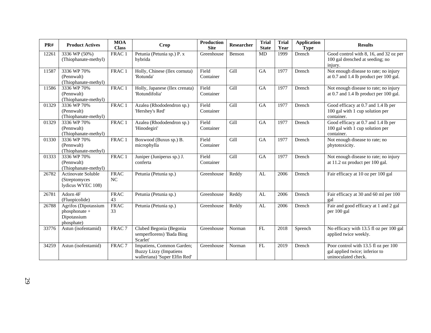| PR#   | <b>Product Actives</b>                                             | <b>MOA</b><br><b>Class</b> | <b>Crop</b>                                                                                 | <b>Production</b><br><b>Site</b> | <b>Researcher</b> | <b>Trial</b><br><b>State</b> | <b>Trial</b><br>Year | <b>Application</b><br><b>Type</b> | <b>Results</b>                                                                                |
|-------|--------------------------------------------------------------------|----------------------------|---------------------------------------------------------------------------------------------|----------------------------------|-------------------|------------------------------|----------------------|-----------------------------------|-----------------------------------------------------------------------------------------------|
| 12261 | 3336 WP (50%)<br>(Thiophanate-methyl)                              | FRAC 1                     | Petunia (Petunia sp.) P. x<br>hybrida                                                       | Greenhouse                       | Benson            | <b>MD</b>                    | 1999                 | Drench                            | Good control with 8, 16, and 32 oz per<br>100 gal drenched at seeding; no<br>injury.          |
| 11587 | 3336 WP 70%<br>(Pennwalt)<br>(Thiophanate-methyl)                  | FRAC 1                     | Holly, Chinese (Ilex cornuta)<br>'Rotunda'                                                  | Field<br>Container               | Gill              | GA                           | 1977                 | Drench                            | Not enough disease to rate; no injury<br>at 0.7 and 1.4 lb product per 100 gal.               |
| 11586 | 3336 WP 70%<br>(Pennwalt)<br>(Thiophanate-methyl)                  | FRAC 1                     | Holly, Japanese (Ilex crenata)<br>'Rotundifolia'                                            | Field<br>Container               | Gill              | <b>GA</b>                    | 1977                 | Drench                            | Not enough disease to rate; no injury<br>at 0.7 and 1.4 lb product per 100 gal.               |
| 01329 | 3336 WP 70%<br>(Pennwalt)<br>(Thiophanate-methyl)                  | FRAC 1                     | Azalea (Rhododendron sp.)<br>'Hershey's Red'                                                | Field<br>Container               | Gill              | GA                           | 1977                 | Drench                            | Good efficacy at 0.7 and 1.4 lb per<br>100 gal with 1 cup solution per<br>container.          |
| 01329 | 3336 WP 70%<br>(Pennwalt)<br>(Thiophanate-methyl)                  | FRAC 1                     | Azalea (Rhododendron sp.)<br>'Hinodegiri'                                                   | Field<br>Container               | Gill              | GA                           | 1977                 | Drench                            | Good efficacy at 0.7 and 1.4 lb per<br>100 gal with 1 cup solution per<br>container.          |
| 01330 | 3336 WP 70%<br>(Pennwalt)<br>(Thiophanate-methyl)                  | FRAC 1                     | Boxwood (Buxus sp.) B.<br>microphylla                                                       | Field<br>Container               | Gill              | <b>GA</b>                    | 1977                 | Drench                            | Not enough disease to rate; no<br>phytotoxicity.                                              |
| 01333 | 3336 WP 70%<br>(Pennwalt)<br>(Thiophanate-methyl)                  | FRAC 1                     | Juniper (Juniperus sp.) J.<br>conferta                                                      | Field<br>Container               | Gill              | <b>GA</b>                    | 1977                 | Drench                            | Not enough disease to rate; no injury<br>at 11.2 oz product per 100 gal.                      |
| 26782 | <b>Actinovate Soluble</b><br>(Streptomyces<br>lydicus WYEC 108)    | <b>FRAC</b><br>NC          | Petunia (Petunia sp.)                                                                       | Greenhouse                       | Reddy             | AL                           | 2006                 | Drench                            | Fair efficacy at 10 oz per 100 gal                                                            |
| 26781 | Adorn 4F<br>(Fluopicolide)                                         | <b>FRAC</b><br>43          | Petunia (Petunia sp.)                                                                       | Greenhouse                       | Reddy             | AL                           | 2006                 | Drench                            | Fair efficacy at 30 and 60 ml per 100<br>gal                                                  |
| 26788 | Agrifos (Dipotassium<br>phosphonate +<br>Dipotassium<br>phosphate) | <b>FRAC</b><br>33          | Petunia (Petunia sp.)                                                                       | Greenhouse                       | Reddy             | AL                           | 2006                 | Drench                            | Fair and good efficacy at 1 and 2 gal<br>per 100 gal                                          |
| 33776 | Astun (isofentamid)                                                | FRAC <sub>7</sub>          | Clubed Begonia (Begonia<br>semperflorens) 'Bada Bing<br>Scarlet'                            | Greenhouse                       | Norman            | FL                           | 2018                 | Sprench                           | No efficacy with 13.5 fl oz per 100 gal<br>applied twice weekly.                              |
| 34259 | Astun (isofentamid)                                                | FRAC <sub>7</sub>          | Impatiens, Common Garden;<br><b>Buzzy Lizzy (Impatiens</b><br>walleriana) 'Super Elfin Red' | Greenhouse                       | Norman            | FL                           | 2019                 | Drench                            | Poor control with 13.5 fl oz per 100<br>gal applied twice; inferior to<br>uninoculated check. |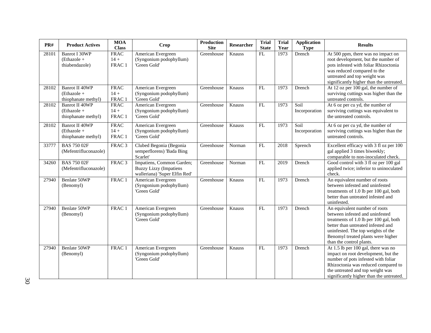| PR#   | <b>Product Actives</b>                                        | <b>MOA</b><br><b>Class</b>      | <b>Crop</b>                                                                                 | <b>Production</b><br><b>Site</b> | Researcher | <b>Trial</b><br><b>State</b> | <b>Trial</b><br>Year | <b>Application</b><br><b>Type</b> | <b>Results</b>                                                                                                                                                                                                                                           |
|-------|---------------------------------------------------------------|---------------------------------|---------------------------------------------------------------------------------------------|----------------------------------|------------|------------------------------|----------------------|-----------------------------------|----------------------------------------------------------------------------------------------------------------------------------------------------------------------------------------------------------------------------------------------------------|
| 28101 | <b>Banrot I 30WP</b><br>$(Ethazole +$<br>thiabendazole)       | <b>FRAC</b><br>$14 +$<br>FRAC 1 | American Evergreen<br>(Syngonium podophyllum)<br>'Green Gold'                               | Greenhouse                       | Knauss     | FL                           | 1973                 | Drench                            | At 500 ppm, there was no impact on<br>root development, but the number of<br>pots infested with foliar Rhizoctonia<br>was reduced compared to the<br>untreated and top weight was<br>significantly higher than the untreated.                            |
| 28102 | <b>Banrot II 40WP</b><br>(Ethazole +<br>thiophanate methyl)   | <b>FRAC</b><br>$14 +$<br>FRAC 1 | American Evergreen<br>(Syngonium podophyllum)<br>'Green Gold'                               | Greenhouse                       | Knauss     | FL                           | 1973                 | Drench                            | At 12 oz per 100 gal, the number of<br>surviving cuttings was higher than the<br>untreated controls.                                                                                                                                                     |
| 28102 | <b>Banrot II 40WP</b><br>$(Ethazole +$<br>thiophanate methyl) | <b>FRAC</b><br>$14 +$<br>FRAC 1 | American Evergreen<br>(Syngonium podophyllum)<br>'Green Gold'                               | Greenhouse                       | Knauss     | FL                           | 1973                 | Soil<br>Incorporation             | At 6 oz per cu yd, the number of<br>surviving cuttings was equivalent to<br>the untreated controls.                                                                                                                                                      |
| 28102 | <b>Banrot II 40WP</b><br>$(Ethazole +$<br>thiophanate methyl) | <b>FRAC</b><br>$14 +$<br>FRAC 1 | American Evergreen<br>(Syngonium podophyllum)<br>'Green Gold'                               | Greenhouse                       | Knauss     | FL                           | 1973                 | Soil<br>Incorporation             | At 6 oz per cu yd, the number of<br>surviving cuttings was higher than the<br>untreated controls.                                                                                                                                                        |
| 33777 | <b>BAS 750 02F</b><br>(Mefentrifluconazole)                   | FRAC <sub>3</sub>               | Clubed Begonia (Begonia<br>semperflorens) 'Bada Bing<br>Scarlet'                            | Greenhouse                       | Norman     | FL                           | 2018                 | Sprench                           | Excellent efficacy with 3 fl oz per 100<br>gal applied 3 times biweekly;<br>comparable to non-inoculated check.                                                                                                                                          |
| 34260 | <b>BAS 750 02F</b><br>(Mefentrifluconazole)                   | FRAC <sub>3</sub>               | Impatiens, Common Garden;<br><b>Buzzy Lizzy (Impatiens</b><br>walleriana) 'Super Elfin Red' | Greenhouse                       | Norman     | FL                           | 2019                 | Drench                            | Good control with 3 fl oz per 100 gal<br>applied twice; inferior to uninoculated<br>check.                                                                                                                                                               |
| 27940 | Benlate 50WP<br>(Benomyl)                                     | FRAC 1                          | American Evergreen<br>(Syngonium podophyllum)<br>'Green Gold'                               | Greenhouse                       | Knauss     | FL                           | 1973                 | Drench                            | An equivalent number of roots<br>between infested and uninfested<br>treatments of 1.0 lb per 100 gal, both<br>better than untreated infested and<br>uninfested.                                                                                          |
| 27940 | <b>Benlate 50WP</b><br>(Benomyl)                              | FRAC 1                          | American Evergreen<br>(Syngonium podophyllum)<br>'Green Gold'                               | Greenhouse                       | Knauss     | <b>FL</b>                    | 1973                 | Drench                            | An equivalent number of roots<br>between infested and uninfested<br>treatments of 1.0 lb per 100 gal, both<br>better than untreated infested and<br>uninfested. The top weights of the<br>Benomyl treated plants were higher<br>than the control plants. |
| 27940 | Benlate 50WP<br>(Benomyl)                                     | FRAC 1                          | American Evergreen<br>(Syngonium podophyllum)<br>'Green Gold'                               | Greenhouse                       | Knauss     | FL                           | 1973                 | Drench                            | At 1.5 lb per 100 gal, there was no<br>impact on root development, but the<br>number of pots infested with foliar<br>Rhizoctonia was reduced compared to<br>the untreated and top weight was<br>significantly higher than the untreated.                 |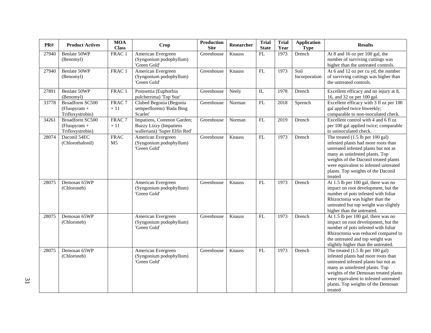| $\mathbf{PR}\#$ | <b>Product Actives</b>                                | <b>MOA</b><br><b>Class</b>    | <b>Crop</b>                                                                                 | Production<br><b>Site</b> | Researcher | <b>Trial</b><br><b>State</b> | <b>Trial</b><br>Year | <b>Application</b><br><b>Type</b> | <b>Results</b>                                                                                                                                                                                                                                                                                          |
|-----------------|-------------------------------------------------------|-------------------------------|---------------------------------------------------------------------------------------------|---------------------------|------------|------------------------------|----------------------|-----------------------------------|---------------------------------------------------------------------------------------------------------------------------------------------------------------------------------------------------------------------------------------------------------------------------------------------------------|
| 27940           | Benlate 50WP<br>(Benomyl)                             | FRAC <sub>1</sub>             | American Evergreen<br>(Syngonium podophyllum)<br>'Green Gold'                               | Greenhouse                | Knauss     | FL                           | 1973                 | Drench                            | At 8 and 16 oz per 100 gal, the<br>number of surviving cuttings was<br>higher than the untreated controls.                                                                                                                                                                                              |
| 27940           | Benlate 50WP<br>(Benomyl)                             | FRAC 1                        | American Evergreen<br>(Syngonium podophyllum)<br>'Green Gold'                               | Greenhouse                | Knauss     | ${\rm FL}$                   | 1973                 | Soil<br>Incorporation             | At 6 and 12 oz per cu yd, the number<br>of surviving cuttings was higher than<br>the untreated controls.                                                                                                                                                                                                |
| 27891           | Benlate 50WP<br>(Benomyl)                             | FRAC 1                        | Poinsettia (Euphorbia<br>pulcherrima) 'Top Star'                                            | Greenhouse                | Neely      | $\rm IL$                     | 1978                 | Drench                            | Excellent efficacy and no injury at 8,<br>16, and 32 oz per 100 gal.                                                                                                                                                                                                                                    |
| 33778           | Broadform SC500<br>(Fluopyram $+$<br>Trifloxystrobin) | FRAC <sub>7</sub><br>$+11$    | Clubed Begonia (Begonia<br>semperflorens) 'Bada Bing<br>Scarlet'                            | Greenhouse                | Norman     | $\mathbf{FL}$                | 2018                 | Sprench                           | Excellent efficacy with 3 fl oz per 100<br>gal applied twice biweekly;<br>comparable to non-inoculated check.                                                                                                                                                                                           |
| 34261           | Broadform SC500<br>$(Fluopyram +$<br>Trifloxystrobin) | FRAC <sub>7</sub><br>$+11$    | Impatiens, Common Garden;<br><b>Buzzy Lizzy (Impatiens</b><br>walleriana) 'Super Elfin Red' | Greenhouse                | Norman     | FL                           | 2019                 | Drench                            | Excellent control with 4 and 6 fl oz<br>per 100 gal applied twice; comparable<br>to uninoculated check.                                                                                                                                                                                                 |
| 28074           | Daconil 54EC<br>(Chlorothalonil)                      | <b>FRAC</b><br>M <sub>5</sub> | American Evergreen<br>(Syngonium podophyllum)<br>'Green Gold'                               | Greenhouse                | Knauss     | $\mathbf{FL}$                | 1973                 | Drench                            | The treated $(1.5 \text{ lb per } 100 \text{ gal})$<br>infested plants had more roots than<br>untreated infested plants but not as<br>many as uninfested plants. Top<br>weights of the Daconil treated plants<br>were equivalent to infested untreated<br>plants. Top weights of the Daconil<br>treated |
| 28075           | Demosan 65WP<br>(Chloroneb)                           |                               | American Evergreen<br>(Syngonium podophyllum)<br>'Green Gold'                               | Greenhouse                | Knauss     | FL                           | 1973                 | Drench                            | At 1.5 lb per 100 gal, there was no<br>impact on root development, but the<br>number of pots infested with foliar<br>Rhizoctonia was higher than the<br>untreated but top weight was slightly<br>higher than the untreated.                                                                             |
| 28075           | Demosan 65WP<br>(Chloroneb)                           |                               | American Evergreen<br>(Syngonium podophyllum)<br>'Green Gold'                               | Greenhouse                | Knauss     | FL                           | 1973                 | Drench                            | At 1.5 lb per 100 gal, there was no<br>impact on root development, but the<br>number of pots infested with foliar<br>Rhizoctonia was reduced compared to<br>the untreated and top weight was<br>slightly higher than the untreated.                                                                     |
| 28075           | Demosan 65WP<br>(Chloroneb)                           |                               | American Evergreen<br>(Syngonium podophyllum)<br>'Green Gold'                               | Greenhouse                | Knauss     | FL                           | 1973                 | Drench                            | The treated (1.5 lb per 100 gal)<br>infested plants had more roots than<br>untreated infested plants but not as<br>many as uninfested plants. Top<br>weights of the Demosan treated plants<br>were equivalent to infested untreated<br>plants. Top weights of the Demosan<br>treated                    |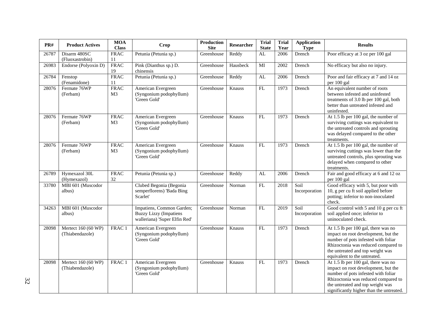| PR#   | <b>Product Actives</b>                 | <b>MOA</b><br><b>Class</b>    | Crop                                                                                        | <b>Production</b><br><b>Site</b> | Researcher | <b>Trial</b><br><b>State</b> | Trial<br>Year | <b>Application</b><br><b>Type</b> | <b>Results</b>                                                                                                                                                                                                                           |
|-------|----------------------------------------|-------------------------------|---------------------------------------------------------------------------------------------|----------------------------------|------------|------------------------------|---------------|-----------------------------------|------------------------------------------------------------------------------------------------------------------------------------------------------------------------------------------------------------------------------------------|
| 26787 | Disarm 480SC<br>(Fluoxastrobin)        | <b>FRAC</b><br>11             | Petunia (Petunia sp.)                                                                       | Greenhouse                       | Reddy      | AL                           | 2006          | Drench                            | Poor efficacy at 3 oz per 100 gal                                                                                                                                                                                                        |
| 26983 | Endorse (Polyoxin D)                   | <b>FRAC</b><br>19             | Pink (Dianthus sp.) D.<br>chinensis                                                         | Greenhouse                       | Hausbeck   | MI                           | 2002          | Drench                            | No efficacy but also no injury.                                                                                                                                                                                                          |
| 26784 | Fenstop<br>(Fenamidone)                | <b>FRAC</b><br>11             | Petunia (Petunia sp.)                                                                       | Greenhouse                       | Reddy      | AL                           | 2006          | Drench                            | Poor and fair efficacy at 7 and 14 oz<br>per 100 gal                                                                                                                                                                                     |
| 28076 | Fermate 76WP<br>(Ferbam)               | <b>FRAC</b><br>M <sub>3</sub> | American Evergreen<br>(Syngonium podophyllum)<br>'Green Gold'                               | Greenhouse                       | Knauss     | FL                           | 1973          | Drench                            | An equivalent number of roots<br>between infested and uninfested<br>treatments of 3.0 lb per 100 gal, both<br>better than untreated infested and<br>uninfested.                                                                          |
| 28076 | Fermate 76WP<br>(Ferbam)               | <b>FRAC</b><br>M <sub>3</sub> | American Evergreen<br>(Syngonium podophyllum)<br>'Green Gold'                               | Greenhouse                       | Knauss     | FL                           | 1973          | Drench                            | At 1.5 lb per 100 gal, the number of<br>surviving cuttings was equivalent to<br>the untreated controls and sprouting<br>was delayed compared to the other<br>treatments.                                                                 |
| 28076 | Fermate 76WP<br>(Ferbam)               | <b>FRAC</b><br>M <sub>3</sub> | American Evergreen<br>(Syngonium podophyllum)<br>'Green Gold'                               | Greenhouse                       | Knauss     | FL                           | 1973          | Drench                            | At 1.5 lb per 100 gal, the number of<br>surviving cuttings was lower than the<br>untreated controls, plus sprouting was<br>delayed when compared to other<br>treatments.                                                                 |
| 26789 | Hymexazol 30L<br>(Hymexazol)           | <b>FRAC</b><br>32             | Petunia (Petunia sp.)                                                                       | Greenhouse                       | Reddy      | AL                           | 2006          | Drench                            | Fair and good efficacy at 6 and 12 oz<br>per 100 gal                                                                                                                                                                                     |
| 33780 | MBI 601 (Muscodor<br>albus)            |                               | Clubed Begonia (Begonia<br>semperflorens) 'Bada Bing<br>Scarlet'                            | Greenhouse                       | Norman     | FL                           | 2018          | Soil<br>Incorporation             | Good efficacy with 5, but poor with<br>10, g per cu ft soil applied before<br>potting; inferior to non-inoculated<br>check.                                                                                                              |
| 34263 | MBI 601 (Muscodor<br>albus)            |                               | Impatiens, Common Garden;<br><b>Buzzy Lizzy (Impatiens</b><br>walleriana) 'Super Elfin Red' | Greenhouse                       | Norman     | FL                           | 2019          | Soil<br>Incorporation             | Good control with 5 and 10 g per cu ft<br>soil applied once; inferior to<br>uninoculated check.                                                                                                                                          |
| 28098 | Mertect 160 (60 WP)<br>(Thiabendazole) | FRAC <sub>1</sub>             | American Evergreen<br>(Syngonium podophyllum)<br>'Green Gold'                               | Greenhouse                       | Knauss     | FL                           | 1973          | Drench                            | At 1.5 lb per 100 gal, there was no<br>impact on root development, but the<br>number of pots infested with foliar<br>Rhizoctonia was reduced compared to<br>the untreated and top weight was<br>equivalent to the untreated.             |
| 28098 | Mertect 160 (60 WP)<br>(Thiabendazole) | FRAC 1                        | American Evergreen<br>(Syngonium podophyllum)<br>'Green Gold'                               | Greenhouse                       | Knauss     | FL                           | 1973          | Drench                            | At 1.5 lb per 100 gal, there was no<br>impact on root development, but the<br>number of pots infested with foliar<br>Rhizoctonia was reduced compared to<br>the untreated and top weight was<br>significantly higher than the untreated. |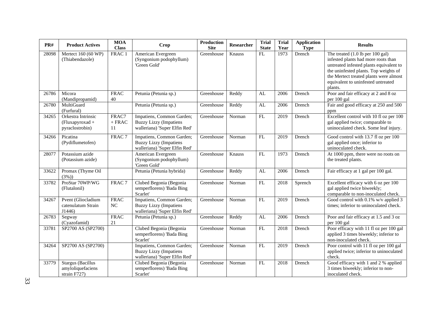| PR#   | <b>Product Actives</b>                                        | <b>MOA</b><br><b>Class</b> | Crop                                                                                        | <b>Production</b><br><b>Site</b> | Researcher | <b>Trial</b><br><b>State</b> | <b>Trial</b><br>Year | <b>Application</b><br><b>Type</b> | <b>Results</b>                                                                                                                                                                                                                                           |
|-------|---------------------------------------------------------------|----------------------------|---------------------------------------------------------------------------------------------|----------------------------------|------------|------------------------------|----------------------|-----------------------------------|----------------------------------------------------------------------------------------------------------------------------------------------------------------------------------------------------------------------------------------------------------|
| 28098 | Mertect 160 (60 WP)<br>(Thiabendazole)                        | FRAC 1                     | American Evergreen<br>(Syngonium podophyllum)<br>'Green Gold'                               | Greenhouse                       | Knauss     | FL                           | 1973                 | Drench                            | The treated $(1.0$ lb per 100 gal)<br>infested plants had more roots than<br>untreated infested plants equivalent to<br>the uninfested plants. Top weights of<br>the Mertect treated plants were almost<br>equivalent to uninfested untreated<br>plants. |
| 26786 | Micora<br>(Mandipropamid)                                     | <b>FRAC</b><br>40          | Petunia (Petunia sp.)                                                                       | Greenhouse                       | Reddy      | AL                           | 2006                 | Drench                            | Poor and fair efficacy at 2 and 8 oz<br>per 100 gal                                                                                                                                                                                                      |
| 26780 | MultiGuard<br>(Furfural)                                      |                            | Petunia (Petunia sp.)                                                                       | Greenhouse                       | Reddy      | AL                           | 2006                 | Drench                            | Fair and good efficacy at 250 and 500<br>ppm                                                                                                                                                                                                             |
| 34265 | Orkestra Intrinsic<br>(Fluxapyroxad +<br>pyraclostrobin)      | FRAC7<br>$\pm$ FRAC<br>11  | Impatiens, Common Garden;<br><b>Buzzy Lizzy (Impatiens</b><br>walleriana) 'Super Elfin Red' | Greenhouse                       | Norman     | FL                           | 2019                 | Drench                            | Excellent control with 10 fl oz per 100<br>gal applied twice; comparable to<br>uninoculated check. Some leaf injury.                                                                                                                                     |
| 34266 | Picatina<br>(Pydiflumetofen)                                  | FRAC <sub>7</sub>          | Impatiens, Common Garden;<br><b>Buzzy Lizzy (Impatiens</b><br>walleriana) 'Super Elfin Red' | Greenhouse                       | Norman     | FL                           | 2019                 | Drench                            | Good control with 13.7 fl oz per 100<br>gal applied once; inferior to<br>uninoculated check.                                                                                                                                                             |
| 28077 | Potassium azide<br>(Potassium azide)                          |                            | American Evergreen<br>(Syngonium podophyllum)<br>'Green Gold'                               | Greenhouse                       | Knauss     | FL                           | 1973                 | Drench                            | At 1000 ppm, there were no roots on<br>the treated plants.                                                                                                                                                                                               |
| 33622 | Promax (Thyme Oil<br>(3%)                                     |                            | Petunia (Petunia hybrida)                                                                   | Greenhouse                       | Reddy      | AL                           | 2006                 | Drench                            | Fair efficacy at 1 gal per 100 gal.                                                                                                                                                                                                                      |
| 33782 | ProStar 70WP/WG<br>(Flutalonil)                               | FRAC <sub>7</sub>          | Clubed Begonia (Begonia<br>semperflorens) 'Bada Bing<br>Scarlet'                            | Greenhouse                       | Norman     | FL                           | 2018                 | Sprench                           | Excellent efficacy with 6 oz per 100<br>gal applied twice biweekly;<br>comparable to non-inoculated check.                                                                                                                                               |
| 34267 | Pvent (Gliocladium<br>catenulatum Strain<br>J1446             | <b>FRAC</b><br><b>NC</b>   | Impatiens, Common Garden;<br><b>Buzzy Lizzy (Impatiens</b><br>walleriana) 'Super Elfin Red' | Greenhouse                       | Norman     | FL                           | 2019                 | Drench                            | Good control with 0.1% w/v applied 3<br>times; inferior to uninoculated check.                                                                                                                                                                           |
| 26783 | Segway<br>(Cyazofamid)                                        | <b>FRAC</b><br>$21\,$      | Petunia (Petunia sp.)                                                                       | Greenhouse                       | Reddy      | AL                           | 2006                 | Drench                            | Poor and fair efficacy at 1.5 and 3 oz<br>per 100 gal                                                                                                                                                                                                    |
| 33781 | SP2700 AS (SP2700)                                            |                            | Clubed Begonia (Begonia<br>semperflorens) 'Bada Bing<br>Scarlet'                            | Greenhouse                       | Norman     | FL                           | 2018                 | Drench                            | Poor efficacy with 11 fl oz per 100 gal<br>applied 3 times biweekly; inferior to<br>non-inoculated check.                                                                                                                                                |
| 34264 | SP2700 AS (SP2700)                                            |                            | Impatiens, Common Garden;<br><b>Buzzy Lizzy (Impatiens</b><br>walleriana) 'Super Elfin Red' | Greenhouse                       | Norman     | FL                           | 2019                 | Drench                            | Poor control with 11 fl oz per 100 gal<br>applied twice; inferior to uninoculated<br>check.                                                                                                                                                              |
| 33779 | <b>Stargus</b> (Bacillus<br>amyloliquefaciens<br>strain F727) |                            | Clubed Begonia (Begonia<br>semperflorens) 'Bada Bing<br>Scarlet'                            | Greenhouse                       | Norman     | FL                           | 2018                 | Drench                            | Good efficacy with 1 and 2 % applied<br>3 times biweekly; inferior to non-<br>inoculated check.                                                                                                                                                          |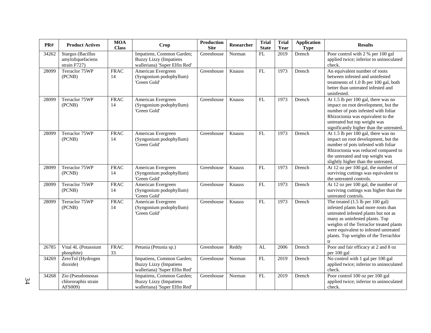| PR#   | <b>Product Actives</b>                                        | <b>MOA</b><br><b>Class</b> | <b>Crop</b>                                                                                 | <b>Production</b><br><b>Site</b> | <b>Researcher</b> | <b>Trial</b><br><b>State</b> | <b>Trial</b><br>Year | <b>Application</b><br><b>Type</b> | <b>Results</b>                                                                                                                                                                                                                                                                                          |
|-------|---------------------------------------------------------------|----------------------------|---------------------------------------------------------------------------------------------|----------------------------------|-------------------|------------------------------|----------------------|-----------------------------------|---------------------------------------------------------------------------------------------------------------------------------------------------------------------------------------------------------------------------------------------------------------------------------------------------------|
| 34262 | <b>Stargus</b> (Bacillus<br>amyloliquefaciens<br>strain F727) |                            | Impatiens, Common Garden;<br><b>Buzzy Lizzy (Impatiens</b><br>walleriana) 'Super Elfin Red' | Greenhouse                       | Norman            | FL                           | 2019                 | Drench                            | Poor control with 2 % per 100 gal<br>applied twice; inferior to uninoculated<br>check.                                                                                                                                                                                                                  |
| 28099 | Terraclor 75WP<br>(PCNB)                                      | <b>FRAC</b><br>14          | American Evergreen<br>(Syngonium podophyllum)<br>'Green Gold'                               | Greenhouse                       | Knauss            | $\mathbf{FL}$                | 1973                 | Drench                            | An equivalent number of roots<br>between infested and uninfested<br>treatments of 1.0 lb per 100 gal, both<br>better than untreated infested and<br>uninfested.                                                                                                                                         |
| 28099 | Terraclor 75WP<br>(PCNB)                                      | <b>FRAC</b><br>14          | American Evergreen<br>(Syngonium podophyllum)<br>'Green Gold'                               | Greenhouse                       | Knauss            | <b>FL</b>                    | 1973                 | Drench                            | At 1.5 lb per 100 gal, there was no<br>impact on root development, but the<br>number of pots infested with foliar<br>Rhizoctonia was equivalent to the<br>untreated but top weight was<br>significantly higher than the untreated.                                                                      |
| 28099 | Terraclor 75WP<br>(PCNB)                                      | <b>FRAC</b><br>14          | American Evergreen<br>(Syngonium podophyllum)<br>'Green Gold'                               | Greenhouse                       | Knauss            | <b>FL</b>                    | 1973                 | Drench                            | At 1.5 lb per 100 gal, there was no<br>impact on root development, but the<br>number of pots infested with foliar<br>Rhizoctonia was reduced compared to<br>the untreated and top weight was<br>slightly higher than the untreated.                                                                     |
| 28099 | Terraclor 75WP<br>(PCNB)                                      | <b>FRAC</b><br>14          | American Evergreen<br>(Syngonium podophyllum)<br>'Green Gold'                               | Greenhouse                       | Knauss            | FL                           | 1973                 | Drench                            | At 12 oz per $100$ gal, the number of<br>surviving cuttings was equivalent to<br>the untreated controls.                                                                                                                                                                                                |
| 28099 | Terraclor 75WP<br>(PCNB)                                      | <b>FRAC</b><br>14          | American Evergreen<br>(Syngonium podophyllum)<br>'Green Gold'                               | Greenhouse                       | Knauss            | FL                           | 1973                 | Drench                            | At 12 oz per 100 gal, the number of<br>surviving cuttings was higher than the<br>untreated controls.                                                                                                                                                                                                    |
| 28099 | Terraclor 75WP<br>(PCNB)                                      | <b>FRAC</b><br>14          | American Evergreen<br>(Syngonium podophyllum)<br>'Green Gold'                               | Greenhouse                       | Knauss            | ${\rm FL}$                   | 1973                 | Drench                            | The treated $(1.5 \text{ lb per } 100 \text{ gal})$<br>infested plants had more roots than<br>untreated infested plants but not as<br>many as uninfested plants. Top<br>weights of the Terraclor treated plants<br>were equivalent to infested untreated<br>plants. Top weights of the Terrachlor<br>tr |
| 26785 | Vital 4L (Potassium<br>phosphite)                             | <b>FRAC</b><br>33          | Petunia (Petunia sp.)                                                                       | Greenhouse                       | Reddy             | AL                           | 2006                 | Drench                            | Poor and fair efficacy at 2 and 8 oz<br>per 100 gal                                                                                                                                                                                                                                                     |
| 34269 | ZeroTol (Hydrogen<br>dioxide)                                 |                            | Impatiens, Common Garden;<br><b>Buzzy Lizzy (Impatiens</b><br>walleriana) 'Super Elfin Red' | Greenhouse                       | Norman            | FL                           | 2019                 | Drench                            | No control with 1 gal per 100 gal<br>applied twice; inferior to uninoculated<br>check.                                                                                                                                                                                                                  |
| 34268 | Zio (Pseudomonas<br>chlororaphis strain<br>AFS009)            |                            | Impatiens, Common Garden;<br><b>Buzzy Lizzy (Impatiens</b><br>walleriana) 'Super Elfin Red' | Greenhouse                       | Norman            | FL                           | 2019                 | Drench                            | Poor control 100 oz per 100 gal<br>applied twice; inferior to uninoculated<br>check.                                                                                                                                                                                                                    |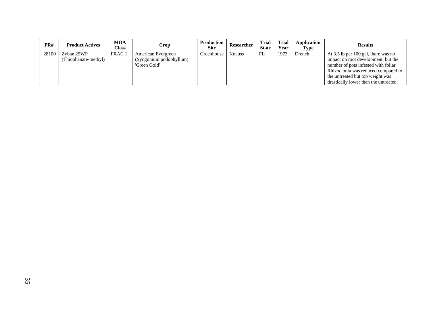| PR#   | <b>Product Actives</b> | <b>MOA</b><br>Class | Crop                    | Production<br><b>Site</b> | Researcher | <b>Trial</b><br><b>State</b> | <b>Trial</b><br>Year | Application<br>Type | <b>Results</b>                        |
|-------|------------------------|---------------------|-------------------------|---------------------------|------------|------------------------------|----------------------|---------------------|---------------------------------------|
| 28100 | Zyban 25WP             | FRAC <sub>1</sub>   | American Evergreen      | Greenhouse                | Knauss     | FL                           | 1973                 | Drench              | At 3.5 lb per 100 gal, there was no   |
|       | (Thiophanate-methyl)   |                     | (Syngonium podophyllum) |                           |            |                              |                      |                     | impact on root development, but the   |
|       |                        |                     | 'Green Gold'            |                           |            |                              |                      |                     | number of pots infested with foliar   |
|       |                        |                     |                         |                           |            |                              |                      |                     | Rhizoctonia was reduced compared to   |
|       |                        |                     |                         |                           |            |                              |                      |                     | the untreated but top weight was      |
|       |                        |                     |                         |                           |            |                              |                      |                     | drastically lower than the untreated. |